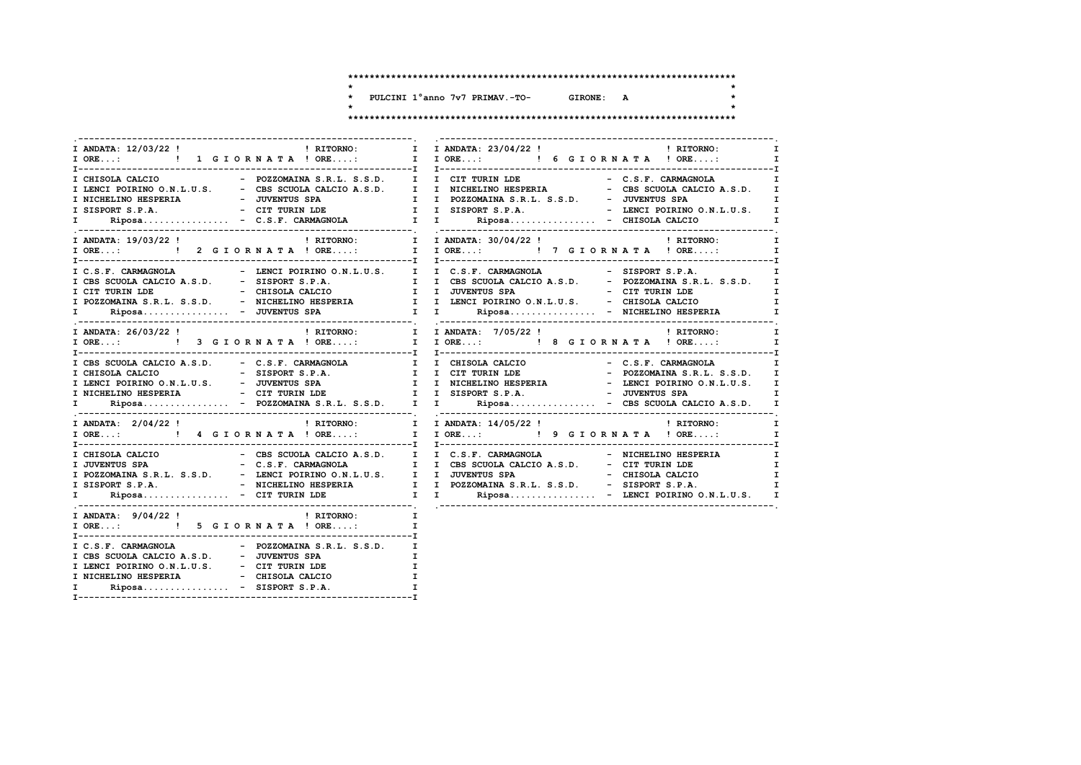$\star$ 

 $\star$ 

 $\rightarrow$ 

\* PULCINI 1°anno 7v7 PRIMAV.-TO- GIRONE: A

 $\mathbf{A}$ 

| I ANDATA: 12/03/22 ! RITORNO:                                                                                      |                                  | I I ANDATA: 23/04/22 ! 1 1 RITORNO:                                                                                                                                                                                                                                                                                         | $\mathbf{I}$                  |
|--------------------------------------------------------------------------------------------------------------------|----------------------------------|-----------------------------------------------------------------------------------------------------------------------------------------------------------------------------------------------------------------------------------------------------------------------------------------------------------------------------|-------------------------------|
|                                                                                                                    |                                  |                                                                                                                                                                                                                                                                                                                             | $\mathbf{I}$ and $\mathbf{I}$ |
|                                                                                                                    |                                  | I CHISOLA CALCIO - POZZOMAINA S.R.L. S.S.D. I I CIT TURIN LDE - C.S.F. CARMAGNOLA I<br>T LENCI POIRINO O.N.L.U.S. - CBS SCUOLA CALCIO A.S.D. I<br>I MICHELINO HESPERIA - JUVENTUS SPA I I POZZOMAINA S.R.L. S.S.D. - JUVENTUS SPA I<br>I SISPORT S.P.A. - CIT TURN LDE I I SISPORT S.P.A. - LENCI POIRINO O.N.L.U.S. I<br>I |                               |
|                                                                                                                    |                                  |                                                                                                                                                                                                                                                                                                                             | $\mathbf{I}$<br>$\mathbf{I}$  |
|                                                                                                                    |                                  | T C.S.F. CARMAGNOLA - LENCI POIRINO O.N.L.U.S. I I C.S.F. CARMAGNOLA - SISPORT S.P.A. I<br>I CBS SCUOLA CALCIO A.S.D. - SISPORT S.P.A. I I CBS SCUOLA CALCIO A.S.D. - POZZOMAINA S.R.L. S.S.D. I<br>I CIT TURIN LDE - CHISOLA CALC                                                                                          |                               |
|                                                                                                                    |                                  | I ANDATA: 26/03/22! ! RITORNO: I I ANDATA: 7/05/22! ! RITORNO: I I ANDATA: 7/05/22! ! RITORNO: I<br>I ORE: ! ! 3 GIORNATA! ORE: I I ORE: ! 8 GIORNATA! ORE: I                                                                                                                                                               |                               |
|                                                                                                                    |                                  | T CHISOLA CALCIO A.S.D. - C.S.F. CARMAGNOLA I TURISOLA CALCIO - C.S.F. CARMAGNOLA I TURISOLA CALCIO - SISPORT S.P.A. I I CHISOLA CALCIO - POZZOMAINA S.R.L. S.S.D. I I LENCI POIRINO O.N.L.U.S. I I NICHELINO HESPERIA - LENCI                                                                                              |                               |
|                                                                                                                    |                                  |                                                                                                                                                                                                                                                                                                                             | $\mathbf{I}$                  |
|                                                                                                                    |                                  | - C.S.F. CARMAGNOLA I I CES SCUOLA CALCIO A.S.D. - CIT TURN LDE<br>I DUE TORINO SPA - C.S.F. CARMAGNOLA I I CES SCUOLA CALCIO A.S.D. - CIT TURN LDE I<br>I SISPORT S.P.A. - NICHELINO HESPERIA I POZZOMAINA S.R.L. S.S.D. - SISPOR                                                                                          |                               |
| I ORE: ! 5 G I OR N A T A ! ORE:                                                                                   | $\mathbf{I}$                     |                                                                                                                                                                                                                                                                                                                             |                               |
| I LENCI POIRINO O.N.L.U.S. - CIT TURIN LDE I<br>I NICHELINO HESPERIA - CHISOLA CALCIO<br>I Riposa - SISPORT S.P.A. | $\frac{1}{\tau}$<br>$\mathbf{I}$ |                                                                                                                                                                                                                                                                                                                             |                               |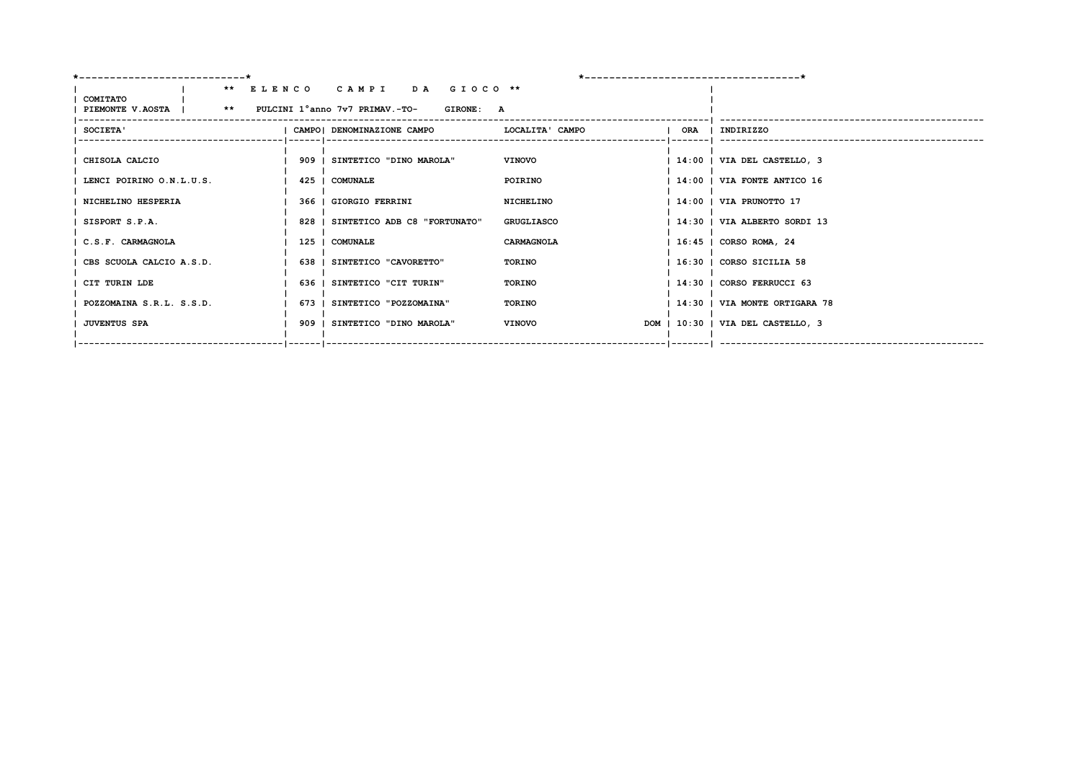| *----------------------------                                    |                                    | *------------------------------------- |                                   |
|------------------------------------------------------------------|------------------------------------|----------------------------------------|-----------------------------------|
| COMITATO                                                         | ** ELENCO CAMPI DA GIOCO **        |                                        |                                   |
| PIEMONTE V.AOSTA           **     PULCINI 1°anno 7v7 PRIMAV.-TO- | <b>GIRONE: A</b>                   |                                        |                                   |
| <b>SOCIETA'</b>                                                  | CAMPO  DENOMINAZIONE CAMPO         | LOCALITA' CAMPO                        | ORA   INDIRIZZO                   |
| CHISOLA CALCIO                                                   | 909   SINTETICO "DINO MAROLA"      | <b>VINOVO</b>                          | 14:00   VIA DEL CASTELLO, 3       |
| LENCI POIRINO O.N.L.U.S.                                         | 425   COMUNALE                     | POIRINO                                | 14:00   VIA FONTE ANTICO 16       |
| NICHELINO HESPERIA                                               | 366   GIORGIO FERRINI              | NICHELINO                              | 14:00   VIA PRUNOTTO 17           |
| SISPORT S.P.A.                                                   | 828   SINTETICO ADB C8 "FORTUNATO" | <b>GRUGLIASCO</b>                      | 14:30   VIA ALBERTO SORDI 13      |
| C.S.F. CARMAGNOLA                                                | 125   COMUNALE                     | CARMAGNOLA                             | 16:45   CORSO ROMA, 24            |
| CBS SCUOLA CALCIO A.S.D.                                         | 638   SINTETICO "CAVORETTO"        | TORINO                                 | 16:30   CORSO SICILIA 58          |
| CIT TURIN LDE                                                    | 636   SINTETICO "CIT TURIN"        | TORINO                                 | 14:30   CORSO FERRUCCI 63         |
| POZZOMAINA S.R.L. S.S.D.                                         | 673   SINTETICO "POZZOMAINA"       | TORINO                                 | 14:30   VIA MONTE ORTIGARA 78     |
| <b>JUVENTUS SPA</b>                                              | 909   SINTETICO "DINO MAROLA"      | <b>VINOVO</b>                          | DOM   10:30   VIA DEL CASTELLO, 3 |
|                                                                  |                                    |                                        |                                   |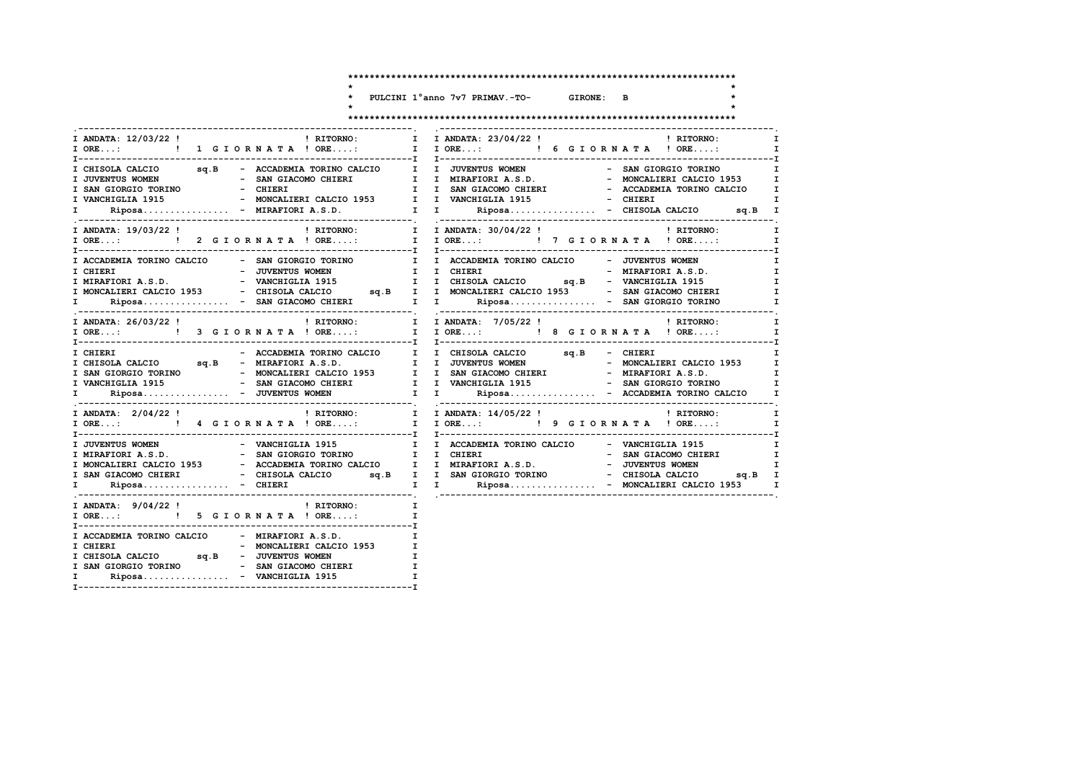$\star$ 

PULCINI 1°anno 7v7 PRIMAV.-TO- GIRONE: B

 $\star$ 

 $\star$ 

 $\star$ 

> $\mathbf{I}$  $\mathbf{I}$  $\mathbf{I}$  $\mathbf{I}$  $\mathbf{I}$

#### 

| I ANDATA: 12/03/22 ! PHITORNO: I                                                                                                                                                                                     | I ANDATA: 23/04/22 ! PITORNO:<br>$\mathbf I$<br>$\begin{tabular}{l c c c c c} $\text{I}$ & CHISOLA CALCO & \texttt{sq.B} & -\texttt{ACCADEMA} \texttt{TOREND} & \texttt{I}$ & $\texttt{JUVENTUS} \texttt{WOMEN} & -\texttt{SAN} \texttt{GIORO} \texttt{TORINO} & \texttt{I}$ \\ $\text{I}$ & JUVENTUS WOMEN & -\texttt{SAN} \texttt{GICOO} & -\texttt{SAN} \texttt{GICOO} \texttt{1953} & -\texttt{SAN} \texttt{GICOO} \texttt{1953} & -\texttt{SAN} \texttt{GICOO} \texttt{1953} &$ |
|----------------------------------------------------------------------------------------------------------------------------------------------------------------------------------------------------------------------|--------------------------------------------------------------------------------------------------------------------------------------------------------------------------------------------------------------------------------------------------------------------------------------------------------------------------------------------------------------------------------------------------------------------------------------------------------------------------------------|
| ! RITORNO: [ I ANDATA: 30/04/22 !   RITORNO: [ I ANDATA: 30/04/22 !   I ANDATA: 19/03/22 !   I ANDATA: 30/04/22 !   I ANDATA: 30/04/22 !   I ORE:     2 G I O R N A T A ! ORE:   I ORE:     7 G I O R N A T A ! ORE. | $\mathbf{I}$<br>$\mathbf{I}$                                                                                                                                                                                                                                                                                                                                                                                                                                                         |
|                                                                                                                                                                                                                      | 1 1 0RE: $1$ 1 0RE: I<br>1 1 0RE: I 7 G I O R N A T A ! ORE: I<br>1 ACCADEMIA TORINO CALCIO - SAN GIORGIO TORINO I I ACCADEMIA TORINO CALCIO - JUVENTUS WOMEN I CHIERI<br>1 CHIERI - JUVENTUS WOMEN I CHIERI - THERET I                                                                                                                                                                                                                                                              |
|                                                                                                                                                                                                                      | I ANDATA: 26/03/22! ! RITORNO: I I ANDATA: 7/05/22! ! RITORNO: I I ANDATA: 7/05/22! ! ! RITORNO: I<br>I I ORE: ! ! 9 G I O R N A T A ! ORE: I I ORE: ! 8 G I O R N A T A ! ORE: I                                                                                                                                                                                                                                                                                                    |
|                                                                                                                                                                                                                      |                                                                                                                                                                                                                                                                                                                                                                                                                                                                                      |
|                                                                                                                                                                                                                      | $\mathbf{I}$                                                                                                                                                                                                                                                                                                                                                                                                                                                                         |
|                                                                                                                                                                                                                      | TRAFFIORIAL SURFALISM AND THE CANCELORE OF THE CANCELORE AS A CORCIO TORINO TRAFFIORIAL SURFALISM ORINO CALCIO<br>TRAFFIORIALS.D. - SAN GIORGIO TORINO TRAFFIORIAL DE CHIERI - SAN GIACOMO CHIERI I<br>TRAFFIORIALS - ACCADEMIA TO                                                                                                                                                                                                                                                   |
| I ANDATA: $9/04/22$ ! PITORNO:<br>$\mathbf{I}$ and $\mathbf{I}$<br>I ORE: ! 5 G I OR N A T A ! ORE:                                                                                                                  | $\mathbf{I}$                                                                                                                                                                                                                                                                                                                                                                                                                                                                         |
| I ACCADEMIA TORINO CALCIO - MIRAFIORI A.S.D.<br>I SAN GIORGIO TORINO - SAN GIACOMO CHIERI I<br>Riposa - VANCHIGLIA 1915<br>I.                                                                                        | I                                                                                                                                                                                                                                                                                                                                                                                                                                                                                    |

 $\overline{a}$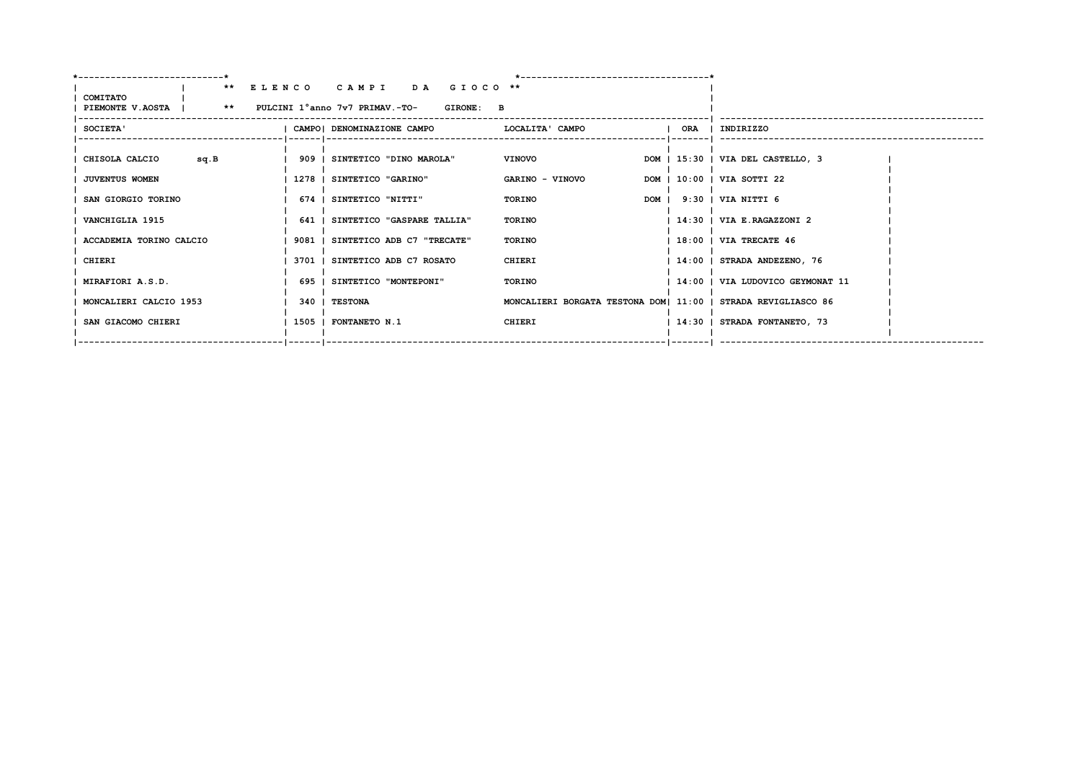| <b>COMITATO</b>                                      | ** ELENCO CAMPI DA GIOCO **       |                                                               |                                    |
|------------------------------------------------------|-----------------------------------|---------------------------------------------------------------|------------------------------------|
| PIEMONTE V.AOSTA   ** PULCINI 1°anno 7v7 PRIMAV.-TO- | <b>GIRONE: B</b>                  |                                                               |                                    |
| <b>SOCIETA'</b>                                      | CAMPO  DENOMINAZIONE CAMPO        | LOCALITA' CAMPO                                               | ORA   INDIRIZZO                    |
| CHISOLA CALCIO<br>sq.B                               | 909   SINTETICO "DINO MAROLA"     | <b>VINOVO</b>                                                 | DOM   15:30   VIA DEL CASTELLO, 3  |
| <b>JUVENTUS WOMEN</b>                                | 1278   SINTETICO "GARINO"         | GARINO - VINOVO                                               | DOM   10:00   VIA SOTTI 22         |
| SAN GIORGIO TORINO                                   | 674   SINTETICO "NITTI"           | TORINO                                                        | DOM   9:30   VIA NITTI 6           |
| VANCHIGLIA 1915                                      | 641   SINTETICO "GASPARE TALLIA"  | <b>TORINO</b>                                                 | 14:30   VIA E.RAGAZZONI 2          |
| ACCADEMIA TORINO CALCIO                              | 9081   SINTETICO ADB C7 "TRECATE" | <b>TORINO</b>                                                 | $1.18:00$   VIA TRECATE 46         |
| CHIERI                                               | 3701   SINTETICO ADB C7 ROSATO    | CHIERI                                                        | 14:00   STRADA ANDEZENO, 76        |
| MIRAFIORI A.S.D.                                     | 695   SINTETICO "MONTEPONI"       | TORINO                                                        | 14:00   VIA LUDOVICO GEYMONAT 11   |
| MONCALIERI CALCIO 1953                               | 340 I TESTONA                     | MONCALIERI BORGATA TESTONA DOM  11:00   STRADA REVIGLIASCO 86 |                                    |
| SAN GIACOMO CHIERI                                   | 1505   FONTANETO N.1              | CHIERI                                                        | 14:30   STRADA FONTANETO, 73       |
|                                                      |                                   |                                                               | --   -------     ----------------- |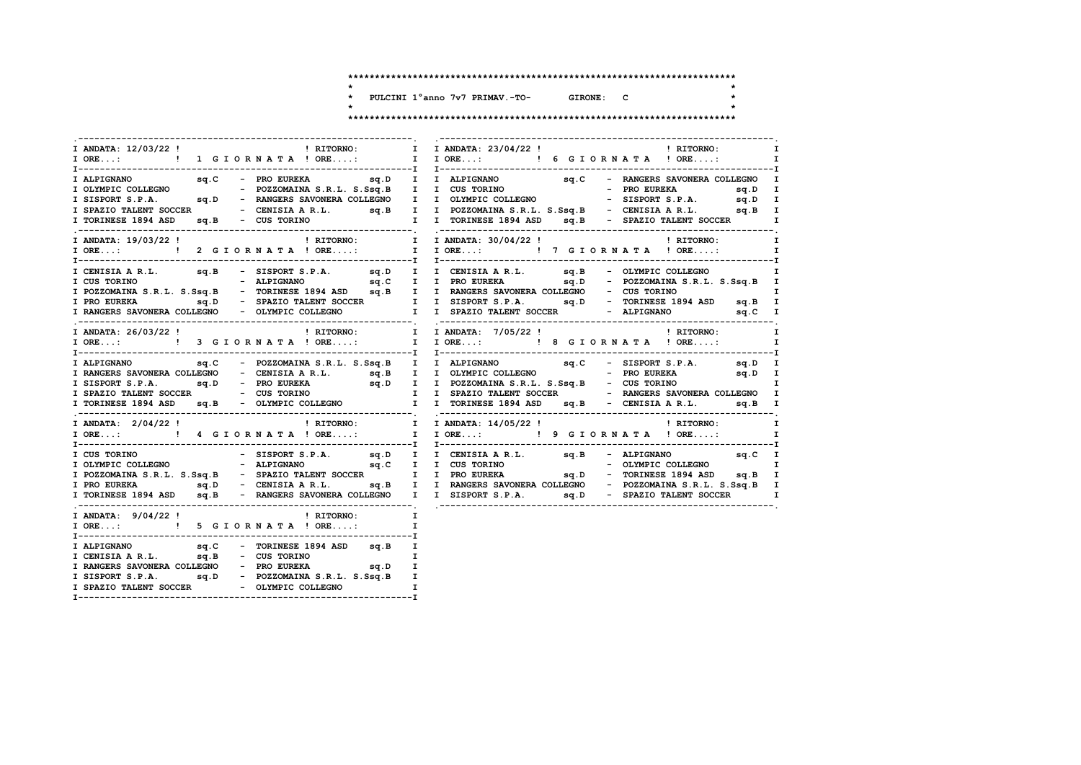$\star$ 

 $\star$ 

 $\star$ 

 $\ddot{\phantom{1}}$  $\star$ 

PULCINI 1°anno 7v7 PRIMAV.-TO- GIRONE: C  $\overline{a}$ 

| I ANDATA: 12/03/22 ! PHITORNO:<br>I ORE: ! 1 G I OR N A T A ! ORE:                                  | $\mathbf{I}$<br>$\mathbf{I}$<br>I IORE: ! 6 GIORNATA ! ORE:<br>$\mathbf{I}$                                                                                                                                                                                                                                               |
|-----------------------------------------------------------------------------------------------------|---------------------------------------------------------------------------------------------------------------------------------------------------------------------------------------------------------------------------------------------------------------------------------------------------------------------------|
|                                                                                                     | $\mathbf{I}$<br>TOLYMPIC COLLEGNO<br>TOLYMPIC COLLEGNO<br>TOLYMPIC COLLEGNO<br>TOLYMPIC COLLEGNO<br>TORINGSE 1894 ASD<br>TORINESE 1894 ASD<br>TORINESE 1894 ASD<br>TORINESE 1894 ASD<br>TORINESE 1894 ASD<br>TORINESE 1894 ASD<br>TORINESE 1894 ASD<br>TORINESE 1894                                                      |
| I ANDATA: 19/03/22 !<br>! RITORNO:<br>IORE: !! 2 GIORNATA ! ORE: I IORE: !! 7 GIORNATA ! ORE:       | I I ANDATA: 30/04/22 ! 1 1 ANDATA: 30/04/22 !<br>$\mathbf{I}$<br>I                                                                                                                                                                                                                                                        |
| I CENISIA A R.L. sq.B - SISPORT S.P.A. sq.D I I CENISIA A R.L. sq.B - OLYMPIC COLLEGNO              | $\mathbf{I}$<br>T CUS TORINO<br>T PRO EURERA (M. 1941)<br>T PRO EURERA SALL. S.Ssq.B – TORINESE 1894 ASD sq.B – TORINESE 1894 ASD sq.B – TORINESE 1894 ASD sq.B – TORINESE 1894 ASD sq.B – TORINESE 1894 ASD sq.B – TORINESE 1894 ASD sq.B – TORIN                                                                        |
| I ANDATA: 26/03/22 !                                                                                | I<br>I                                                                                                                                                                                                                                                                                                                    |
|                                                                                                     | I ALPIGNANO sq.C - POZZOMAINA S.R.L. S.Ssq.B I I ALPIGNANO sq.C - SISPORT S.P.A. sq.D I<br>TRANGERS SAVONERA COLLEGNO - CENTSTA AR.L. S.G. SQ.D I DLYMPTC COLLEGNO - CENTSTA AR.L. S.G. SQ.D I DOLYMPTC COLLEGNO - CENTSTA AR.L. S.G. SQ.D - PRO EUREKA SQ.D - PRO EUREKA SQ.D I DOLYMPTC COLLEGNO I SQ.D I SPAZIO TALENT |
|                                                                                                     | ! RITORNO:<br>$\mathbf{I}$<br>I                                                                                                                                                                                                                                                                                           |
|                                                                                                     |                                                                                                                                                                                                                                                                                                                           |
| I ANDATA: 9/04/22!<br>! RITORNO:<br>I ORE: ! 5 G I OR N A T A ! ORE:                                | $\mathbf{I}$<br>I                                                                                                                                                                                                                                                                                                         |
| sq.D - POZZOMAINA S.R.L. S.Ssq.B I<br>I SISPORT S.P.A.<br>T SDAZIO TALENT SOCCED - OLYMPIC COLLECNO |                                                                                                                                                                                                                                                                                                                           |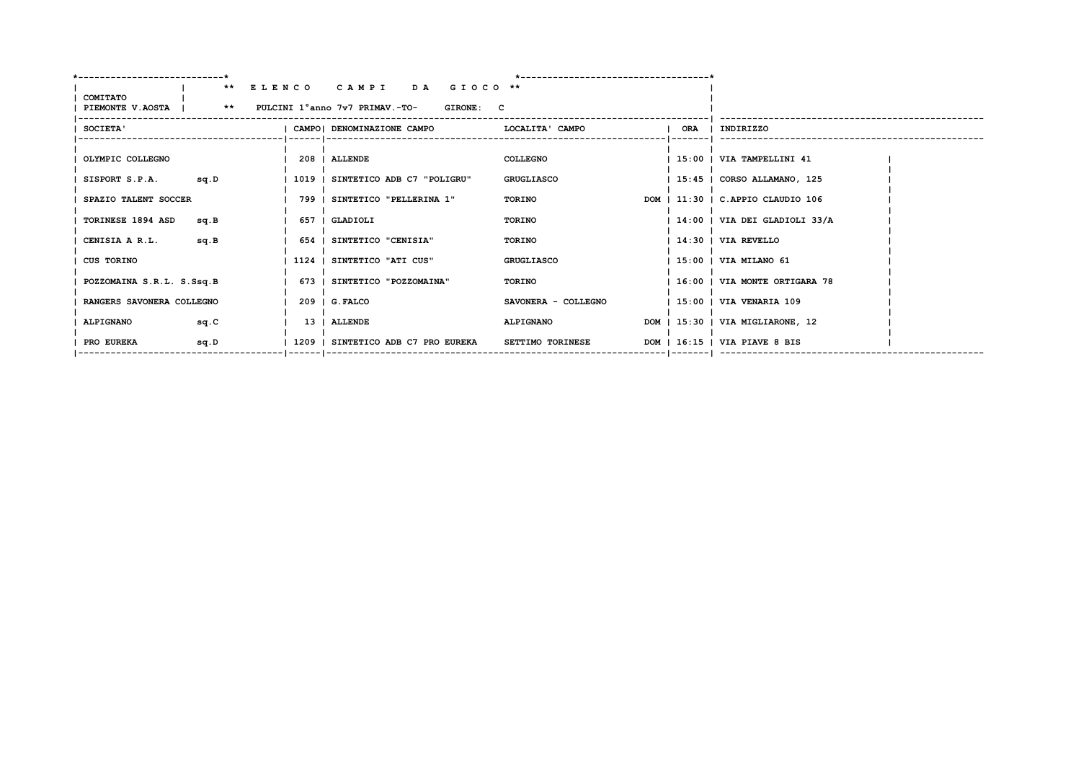|                                                      | ** ELENCO CAMPI DA GIOCO **        |                                               |                         |  |                                   |  |
|------------------------------------------------------|------------------------------------|-----------------------------------------------|-------------------------|--|-----------------------------------|--|
| COMITATO                                             |                                    |                                               |                         |  |                                   |  |
| PIEMONTE V.AOSTA   ** PULCINI 1°anno 7v7 PRIMAV.-TO- |                                    | <b>GIRONE: C</b>                              |                         |  |                                   |  |
| SOCIETA'                                             |                                    | CAMPO  DENOMINAZIONE CAMPO   LOCALITA ' CAMPO |                         |  | ORA   INDIRIZZO                   |  |
|                                                      |                                    |                                               |                         |  |                                   |  |
|                                                      |                                    |                                               |                         |  |                                   |  |
| OLYMPIC COLLEGNO                                     | 208   ALLENDE                      |                                               | COLLEGNO                |  | 15:00   VIA TAMPELLINI 41         |  |
| SISPORT S.P.A. sq.D                                  | 1019   SINTETICO ADB C7 "POLIGRU"  |                                               | GRUGLIASCO              |  | 15:45   CORSO ALLAMANO, 125       |  |
|                                                      |                                    |                                               |                         |  |                                   |  |
| SPAZIO TALENT SOCCER                                 | 799   SINTETICO "PELLERINA 1"      |                                               | TORINO                  |  | DOM   11:30   C.APPIO CLAUDIO 106 |  |
| TORINESE 1894 ASD<br>sq.B                            | 657   GLADIOLI                     |                                               | TORINO                  |  | 14:00   VIA DEI GLADIOLI 33/A     |  |
|                                                      |                                    |                                               |                         |  |                                   |  |
| sq.B<br>CENISIA A R.L.                               | 654   SINTETICO "CENISIA"          |                                               | TORINO                  |  | 14:30   VIA REVELLO               |  |
|                                                      |                                    |                                               |                         |  |                                   |  |
| <b>CUS TORINO</b>                                    | 1124   SINTETICO "ATI CUS"         |                                               | GRUGLIASCO              |  | 15:00   VIA MILANO 61             |  |
| POZZOMAINA S.R.L. S.Ssq.B                            | 673   SINTETICO "POZZOMAINA"       |                                               | TORINO                  |  | 16:00   VIA MONTE ORTIGARA 78     |  |
|                                                      |                                    |                                               |                         |  |                                   |  |
| RANGERS SAVONERA COLLEGNO                            | $209$ $\mid$ G. FALCO              |                                               | SAVONERA - COLLEGNO     |  | 15:00   VIA VENARIA 109           |  |
|                                                      |                                    |                                               |                         |  |                                   |  |
| <b>ALPIGNANO</b><br>sq.C                             | 13   ALLENDE                       |                                               | <b>ALPIGNANO</b>        |  | DOM   15:30   VIA MIGLIARONE, 12  |  |
| PRO EUREKA<br>sq.D                                   | 1209   SINTETICO ADB C7 PRO EUREKA |                                               | <b>SETTIMO TORINESE</b> |  | DOM   16:15   VIA PIAVE 8 BIS     |  |
|                                                      |                                    |                                               |                         |  |                                   |  |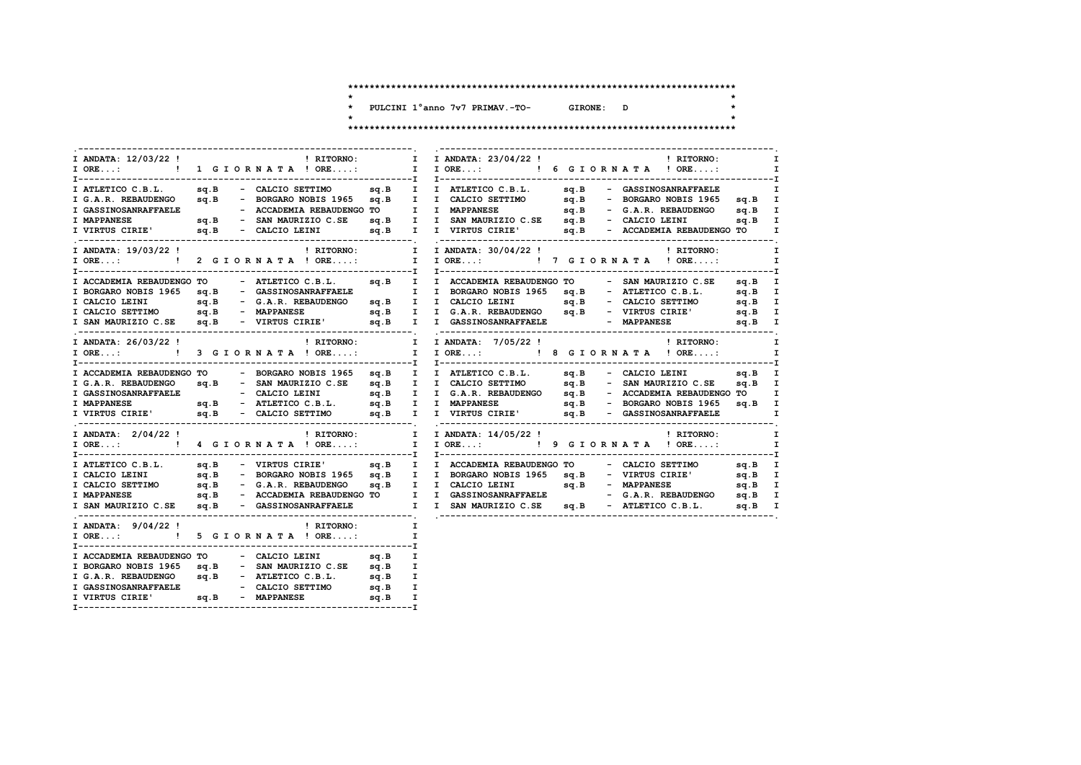$\star$ 

 $\star$ 

 $\star$ 

 $\star$ 

\* PULCINI 1°anno 7v7 PRIMAV.-TO- GIRONE: D

| I ANDATA: 12/03/22 !                                                                                                                                                                                                                 | <b>EXECUTE:</b> RITORNO: | $\mathbf{I}$ and $\mathbf{I}$ | I ANDATA: 23/04/22 !                |  | ! RITORNO:                                                  | I              |
|--------------------------------------------------------------------------------------------------------------------------------------------------------------------------------------------------------------------------------------|--------------------------|-------------------------------|-------------------------------------|--|-------------------------------------------------------------|----------------|
| I ORE: ! 1 G I O R N A T A ! ORE:                                                                                                                                                                                                    |                          |                               | I IORE: ! 6 GIORNATA ! ORE:         |  |                                                             | I.<br>-------I |
|                                                                                                                                                                                                                                      |                          |                               |                                     |  |                                                             |                |
|                                                                                                                                                                                                                                      |                          |                               |                                     |  |                                                             |                |
|                                                                                                                                                                                                                                      |                          |                               |                                     |  |                                                             |                |
|                                                                                                                                                                                                                                      |                          |                               |                                     |  |                                                             |                |
| TRILETICO C.B.L. sq.B - CALCIO SETTIMO sq.B I ATLETICO C.B.L. sq.B - GASSINOSANRAFFAELE I<br>I G.A.R. REBAUDENGO sq.B - BORGARO NOBIS 1965 sq.B I CALCIO SETTIMO sq.B - BORGARO NOBIS 1965 sq.B I<br>I GASSINOSANRAFFAELE - ACCADEMI |                          |                               |                                     |  |                                                             |                |
| I ANDATA: 19/03/22 !                                                                                                                                                                                                                 | ! RITORNO:               |                               | I I ANDATA: 30/04/22 !              |  | ! RITORNO:                                                  | $\mathbf I$    |
| I ORE: ! 2 GIORNATA ! ORE:                                                                                                                                                                                                           |                          |                               | I I ORE: ! 7 G I O R N A T A ! ORE: |  |                                                             | $\mathbf{I}$   |
|                                                                                                                                                                                                                                      |                          |                               |                                     |  |                                                             |                |
| I ACCADEMIA REBAUDENGO TO - ATLETICO C.B.L.                                                                                                                                                                                          |                          |                               |                                     |  | sq.B I I ACCADEMIA REBAUDENGO TO - SAN MAURIZIO C.SE sq.B I |                |
| I BORGARO NOBIS 1965 sq.B - GASSINOSANRAFFAELE I I BORGARO NOBIS 1965 sq.B - ATLETICO C.B.L. sq.B I                                                                                                                                  |                          |                               |                                     |  |                                                             |                |
|                                                                                                                                                                                                                                      |                          |                               |                                     |  |                                                             |                |
|                                                                                                                                                                                                                                      |                          |                               |                                     |  |                                                             |                |
| T CALCIO LEINI<br>I CALCIO LEINI<br>I CALCIO LEINI SQ.B - G.A.R. REBAUDENGO SQ.B - MAPPANESE SQ.B - MAPPANESE SQ.B - VIRTUS CIRIE<br>I SAN MAURIZIO C.SE sq.B - VIRTUS CIRIE' sq.B I I GA.R. REBAUDENGO SQ.B - VIRTUS CIRIE' sq.B    |                          |                               |                                     |  |                                                             |                |
| I ANDATA: 26/03/22 !                                                                                                                                                                                                                 | ! RITORNO:               |                               | I I ANDATA: 7/05/22!                |  | ! RITORNO:                                                  | I.             |
| $I$ ORE: $\qquad$ !                                                                                                                                                                                                                  | 3 GIORNATA ! ORE:        |                               | I IORE: ! 8 GIORNATA ! ORE:         |  |                                                             | I              |
| I ACCADEMIA REBAUDENGO TO - BORGARO NOBIS 1965 sq.B I I ATLETICO C.B.L. sq.B - CALCIO LEINI sq.B I                                                                                                                                   |                          |                               |                                     |  |                                                             |                |
|                                                                                                                                                                                                                                      |                          |                               |                                     |  |                                                             |                |
|                                                                                                                                                                                                                                      |                          |                               |                                     |  |                                                             |                |
|                                                                                                                                                                                                                                      |                          |                               |                                     |  |                                                             |                |
| E GAR. REBAUDENGO SQ.B - SAN MAURIZIO C.SE SQ.B I I GALCIO SETTIMO SQ.B - SAN MAURIZIO C.SE SQ.B - CALCIO LEINI<br>I GASSINOSANRAFFAELE SQ.B - CALCIO LEINI SQ.B I I GAR.R. REBAUDENGO SQ.B - ACCADEMIA REBAUDENGO TO I<br>I MAPPA   |                          |                               |                                     |  |                                                             |                |
| I ANDATA: 2/04/22 !                                                                                                                                                                                                                  | ! RITORNO:               |                               | I I ANDATA: 14/05/22 !   RITORNO:   |  |                                                             | I              |
| I ORE: ! 4 GIORNATA ! ORE:                                                                                                                                                                                                           |                          |                               | I I ORE: ! 9 G I OR N A T A ! ORE:  |  |                                                             | $\mathbf{I}$   |
| I ATLETICO C.B.L. sq.B - VIRTUS CIRIE' sq.B I I ACCADEMIA REBAUDENGO TO - CALCIO SETTIMO sq.B I                                                                                                                                      |                          |                               |                                     |  |                                                             |                |
|                                                                                                                                                                                                                                      |                          |                               |                                     |  |                                                             |                |
|                                                                                                                                                                                                                                      |                          |                               |                                     |  |                                                             |                |
|                                                                                                                                                                                                                                      |                          |                               |                                     |  |                                                             |                |
| I SAN MAURIZIO C.SE sq.B - GASSINOSANRAFFAELE I I SAN MAURIZIO C.SE sq.B - ATLETICO C.B.L. sq.B I                                                                                                                                    |                          |                               |                                     |  |                                                             |                |
| I ANDATA: $9/04/22$ ! RITORNO:                                                                                                                                                                                                       |                          | I                             |                                     |  |                                                             |                |
| $I$ ORE: $\qquad$ !                                                                                                                                                                                                                  | 5 GIORNATA ! ORE:        | I                             |                                     |  |                                                             |                |
| I ACCADEMIA REBAUDENGO TO                                                                                                                                                                                                            | - CALCIO LEINI sq.B      | I                             |                                     |  |                                                             |                |
| I BORGARO NOBIS 1965 sq.B - SAN MAURIZIO C.SE sq.B                                                                                                                                                                                   |                          | I                             |                                     |  |                                                             |                |
|                                                                                                                                                                                                                                      |                          | I                             |                                     |  |                                                             |                |
|                                                                                                                                                                                                                                      |                          | I                             |                                     |  |                                                             |                |
| I G.A.R. REBAUDENGO 94.B - ATLETICO C.B.L. 94.B<br>I GASSINOSANRAFFAELE - CALCIO SETTIMO 94.B<br>I VIRTUS CIRIE' 94.B - MAPPANESE 94.B                                                                                               |                          |                               |                                     |  |                                                             |                |
|                                                                                                                                                                                                                                      |                          |                               |                                     |  |                                                             |                |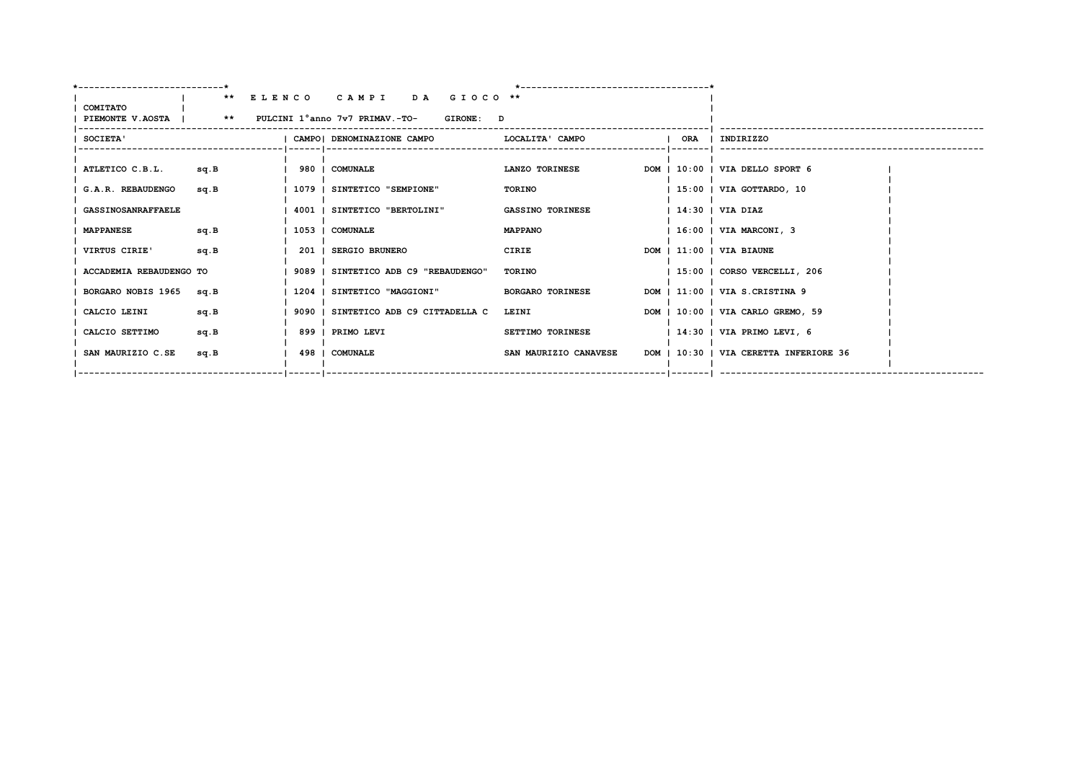|                                                      | ** ELENCO CAMPI DA GIOCO **                    |                         |     |                                        |
|------------------------------------------------------|------------------------------------------------|-------------------------|-----|----------------------------------------|
| COMITATO                                             |                                                |                         |     |                                        |
| PIEMONTE V.AOSTA   ** PULCINI 1°anno 7v7 PRIMAV.-TO- | GIRONE: D                                      |                         |     |                                        |
| SOCIETA'                                             | CAMPO   DENOMINAZIONE CAMPO   LOCALITA ' CAMPO |                         | ORA | I INDIRIZZO                            |
|                                                      |                                                |                         |     |                                        |
| ATLETICO C.B.L.<br>sq.B                              | 980   COMUNALE                                 | LANZO TORINESE          |     | DOM   10:00   VIA DELLO SPORT 6        |
| G.A.R. REBAUDENGO<br>sq.B                            | 1079   SINTETICO "SEMPIONE"                    | TORINO                  |     | 15:00   VIA GOTTARDO, 10               |
| <b>GASSINOSANRAFFAELE</b>                            | 4001   SINTETICO "BERTOLINI"                   | <b>GASSINO TORINESE</b> |     | $ 14:30 $ VIA DIAZ                     |
| sq.B<br><b>MAPPANESE</b>                             | 1053   COMUNALE                                | <b>MAPPANO</b>          |     | $ 16:00 $ VIA MARCONI, 3               |
| VIRTUS CIRIE'<br>sq.B                                | 201   SERGIO BRUNERO                           | CIRIE                   |     | $DOM$   $11:00$   VIA BIAUNE           |
| ACCADEMIA REBAUDENGO TO                              | 9089   SINTETICO ADB C9 "REBAUDENGO"           | TORINO                  |     | 15:00   CORSO VERCELLI, 206            |
| BORGARO NOBIS 1965<br>sa.B                           | 1204   SINTETICO "MAGGIONI"                    | <b>BORGARO TORINESE</b> |     | DOM   11:00   VIA S.CRISTINA 9         |
| sq.B<br>CALCIO LEINI                                 | 9090   SINTETICO ADB C9 CITTADELLA C           | LEINI                   |     | DOM   10:00   VIA CARLO GREMO, 59      |
| CALCIO SETTIMO<br>sq.B                               | 899   PRIMO LEVI                               | SETTIMO TORINESE        |     | $ 14:30 $ VIA PRIMO LEVI, 6            |
| SAN MAURIZIO C.SE<br>sq.B                            | 498   COMUNALE                                 | SAN MAURIZIO CANAVESE   |     | DOM   10:30   VIA CERETTA INFERIORE 36 |
|                                                      | --   ------   --------------                   |                         |     |                                        |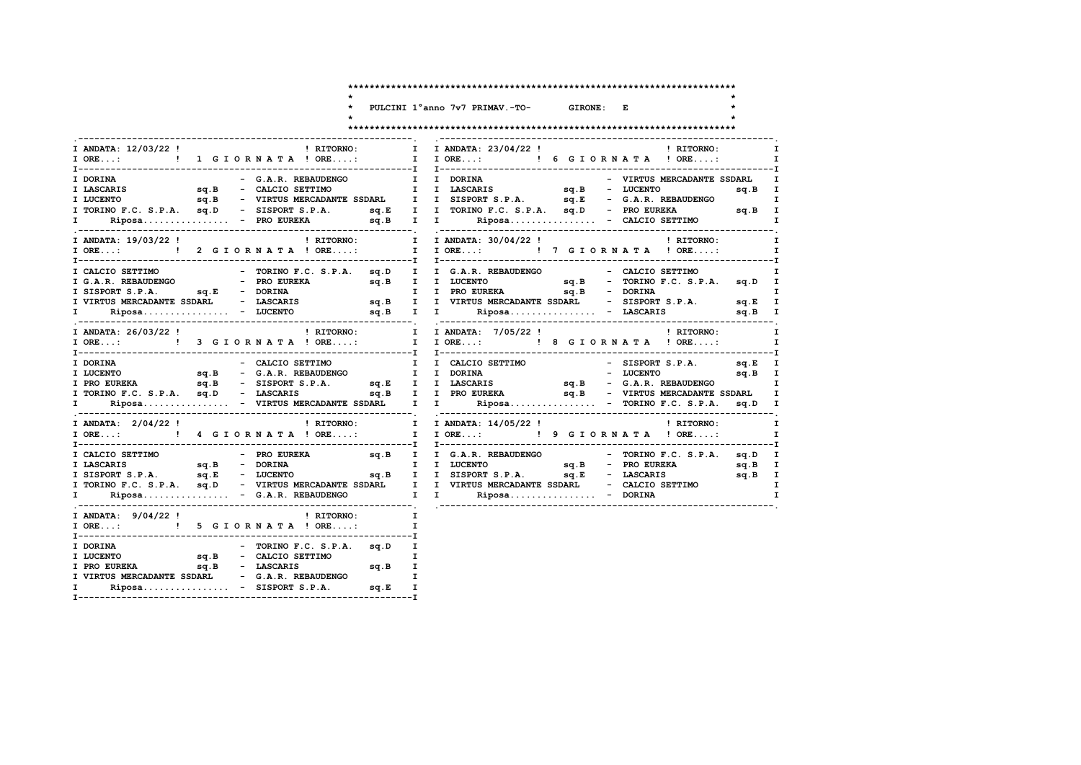$\ddot{\phantom{1}}$ 

GIRONE: E \* PULCINI 1°anno 7v7 PRIMAV.-TO-

 $\star$ 

 $\star$ 

 $\star$ 

| I ANDATA: 12/03/22 !              | ! RITORNO:                                       | I I ANDATA: 23/04/22 !<br>! RITORNO:<br>I ORE:  1 G I O R I ORE A I ORE: I O RE: I O RE: I O RE: I O RE:                                                                                                                             |
|-----------------------------------|--------------------------------------------------|--------------------------------------------------------------------------------------------------------------------------------------------------------------------------------------------------------------------------------------|
| I DORINA                          | - G.A.R. REBAUDENGO                              | I I DORINA<br>- VIRTUS MERCADANTE SSDARL                                                                                                                                                                                             |
|                                   |                                                  |                                                                                                                                                                                                                                      |
|                                   |                                                  |                                                                                                                                                                                                                                      |
|                                   |                                                  |                                                                                                                                                                                                                                      |
|                                   | I ANDATA: 19/03/22 !<br>I RITORNO: I             | I ANDATA: 30/04/22 !<br>! RITORNO:                                                                                                                                                                                                   |
|                                   |                                                  | I ORE:  1 P ORE: I P ORE: I P ORE: I P ORE: I P ORE: I P ORE: I P ORE:                                                                                                                                                               |
| I CALCIO SETTIMO                  |                                                  | - TORINO F.C. S.P.A. sq.D I I G.A.R. REBAUDENGO - CALCIO SETTIMO                                                                                                                                                                     |
|                                   |                                                  |                                                                                                                                                                                                                                      |
|                                   |                                                  |                                                                                                                                                                                                                                      |
|                                   |                                                  |                                                                                                                                                                                                                                      |
|                                   |                                                  | T CALCIO SETTIMO - TORINO F.C. S.P.A. SQ.D I I G.A.R. REBAUDENGO - CALCIO SETTIMO I<br>I G.A.R. REBAUDENGO - PRO EUCRETA sq.B I I LUCENTO - SQ.B - TORINA I ISSORT S.P.A. SQ.D I<br>I SISPORT S.P.A. SQ.E - DORINA<br>I VIRTUS MERCA |
|                                   |                                                  |                                                                                                                                                                                                                                      |
|                                   |                                                  |                                                                                                                                                                                                                                      |
| I DORINA                          | - CALCIO SETTIMO                                 | I I CALCIO SETTIMO - SISPORT S.P.A. sq.E I                                                                                                                                                                                           |
|                                   |                                                  | TRICENTO SQ.B – G.A.R. REBAUDENGO I I DORINA – DUCENTO SQ.B – G.A.R. REBAUDENGO SQ.B – G.A.R. REBAUDENGO SQ.B – G.A.R. REBAUDENGO SQ.B – G.A.R. REBAUDENGO SQ.B – G.A.R. REBAUDENGO SQ.B – G.A.R. REBAUDENGO SQ.B – G.A.R. REB       |
|                                   |                                                  |                                                                                                                                                                                                                                      |
|                                   |                                                  | sq.B - VIRTUS MERCADANTE SSDARL I                                                                                                                                                                                                    |
| $\mathbf{I}$ and $\mathbf{I}$     |                                                  | Riposa - VIRTUS MERCADANTE SSDARL I I Riposa - TORINO F.C. S.P.A. sq.D I                                                                                                                                                             |
| I ANDATA: 2/04/22 !               |                                                  | $\blacksquare$ RITORNO: $\blacksquare$ I ANDATA: $14/05/22$ ! $\blacksquare$ I RITORNO:                                                                                                                                              |
|                                   |                                                  |                                                                                                                                                                                                                                      |
|                                   |                                                  | T CALCIO SETTIMO - PRO EUREKA = 4.B I I G.A.R. REBAUDENGO - TORINO F.C. S.P.A. Sq.D I<br>I LASCARIS = 5q.B - DORINA I I LUCENTO sq.B - RO EUREKA = 4.B I I LUCENTO = 70RINO F.C. S.P.A. Sq.D I<br>I SISPORT S.P.A. Sq.B - LUCENTO    |
|                                   |                                                  |                                                                                                                                                                                                                                      |
|                                   |                                                  |                                                                                                                                                                                                                                      |
|                                   |                                                  |                                                                                                                                                                                                                                      |
|                                   |                                                  |                                                                                                                                                                                                                                      |
|                                   | I ANDATA: $9/04/22$ ! (RITORNO: I                |                                                                                                                                                                                                                                      |
| I ORE: ! 5 G I O R N A T A ! ORE: |                                                  | $\mathbf{I}$                                                                                                                                                                                                                         |
|                                   |                                                  |                                                                                                                                                                                                                                      |
|                                   |                                                  |                                                                                                                                                                                                                                      |
|                                   |                                                  |                                                                                                                                                                                                                                      |
|                                   | I VIRTUS MERCADANTE SSDARL - G.A.R. REBAUDENGO I |                                                                                                                                                                                                                                      |
| $\mathbf{I}$ and $\mathbf{I}$     | $Riposa$ - SISPORT S.P.A.<br>sq.E                | $\mathbf{I}$                                                                                                                                                                                                                         |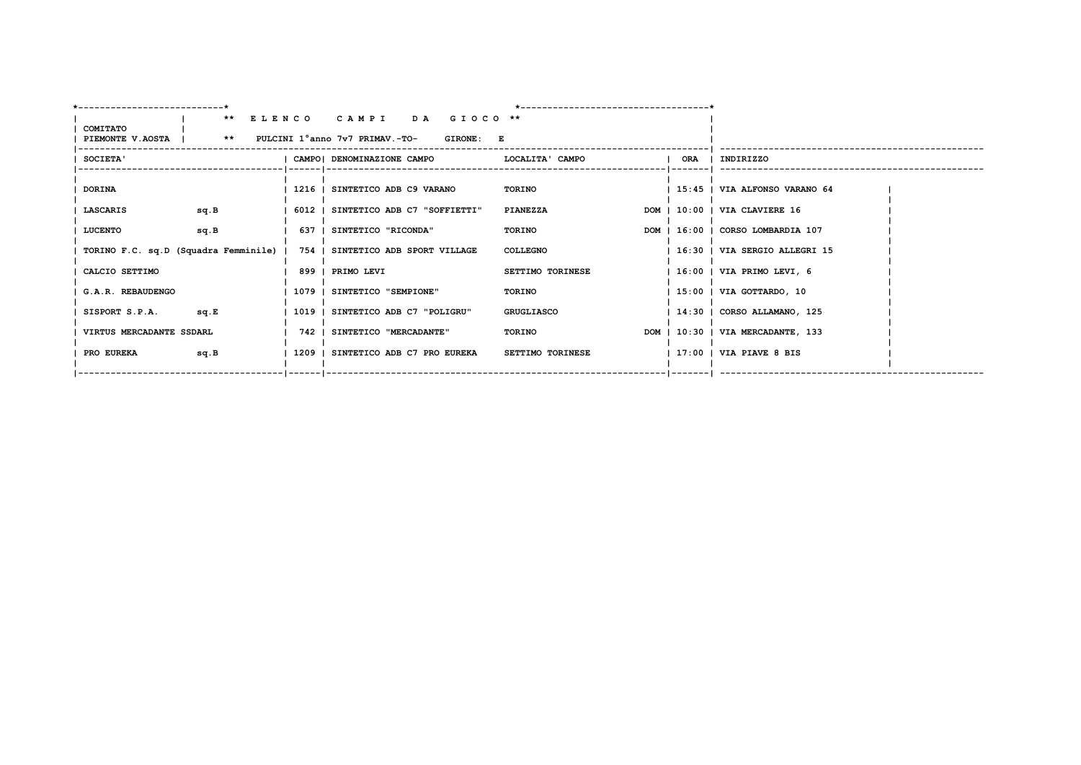| --------------------------- |                                                                   |  |                                                                          | ---------------------------------- |  |                                   |  |  |  |
|-----------------------------|-------------------------------------------------------------------|--|--------------------------------------------------------------------------|------------------------------------|--|-----------------------------------|--|--|--|
|                             |                                                                   |  | ** ELENCO CAMPI DA GIOCO **                                              |                                    |  |                                   |  |  |  |
| COMITATO                    |                                                                   |  |                                                                          |                                    |  |                                   |  |  |  |
|                             | PIEMONTE V.AOSTA   ** PULCINI 1°anno 7v7 PRIMAV.-TO-<br>GIRONE: E |  |                                                                          |                                    |  |                                   |  |  |  |
| SOCIETA'                    |                                                                   |  | CAMPO  DENOMINAZIONE CAMPO                                               | LOCALITA' CAMPO                    |  | ORA   INDIRIZZO                   |  |  |  |
|                             |                                                                   |  |                                                                          |                                    |  |                                   |  |  |  |
| <b>DORINA</b>               |                                                                   |  | 1216   SINTETICO ADB C9 VARANO                                           | TORINO                             |  | 15:45   VIA ALFONSO VARANO 64     |  |  |  |
| LASCARIS                    | sq.B                                                              |  | 6012   SINTETICO ADB C7 "SOFFIETTI"                                      | PIANEZZA                           |  | DOM   10:00   VIA CLAVIERE 16     |  |  |  |
| <b>LUCENTO</b>              | sq.B                                                              |  | 637   SINTETICO "RICONDA"                                                | TORINO                             |  | DOM   16:00   CORSO LOMBARDIA 107 |  |  |  |
|                             |                                                                   |  | TORINO F.C. sq.D (Squadra Femminile)   754   SINTETICO ADB SPORT VILLAGE | <b>COLLEGNO</b>                    |  | 16:30   VIA SERGIO ALLEGRI 15     |  |  |  |
| CALCIO SETTIMO              |                                                                   |  | 899   PRIMO LEVI                                                         | SETTIMO TORINESE                   |  | $ 16:00 $ VIA PRIMO LEVI, 6       |  |  |  |
| G.A.R. REBAUDENGO           |                                                                   |  | 1079   SINTETICO "SEMPIONE"                                              | TORINO                             |  | 15:00   VIA GOTTARDO, 10          |  |  |  |
| SISPORT S.P.A. sq.E         |                                                                   |  | 1019   SINTETICO ADB C7 "POLIGRU"                                        | GRUGLIASCO                         |  | 14:30   CORSO ALLAMANO, 125       |  |  |  |
| VIRTUS MERCADANTE SSDARL    |                                                                   |  | 742   SINTETICO "MERCADANTE"                                             | <b>TORINO</b>                      |  | DOM   10:30   VIA MERCADANTE, 133 |  |  |  |
| <b>PRO EUREKA</b>           | sq.B                                                              |  | 1209   SINTETICO ADB C7 PRO EUREKA                                       | <b>SETTIMO TORINESE</b>            |  | $ 17:00 $ VIA PIAVE 8 BIS         |  |  |  |
|                             |                                                                   |  | --   ------   ----------------                                           |                                    |  |                                   |  |  |  |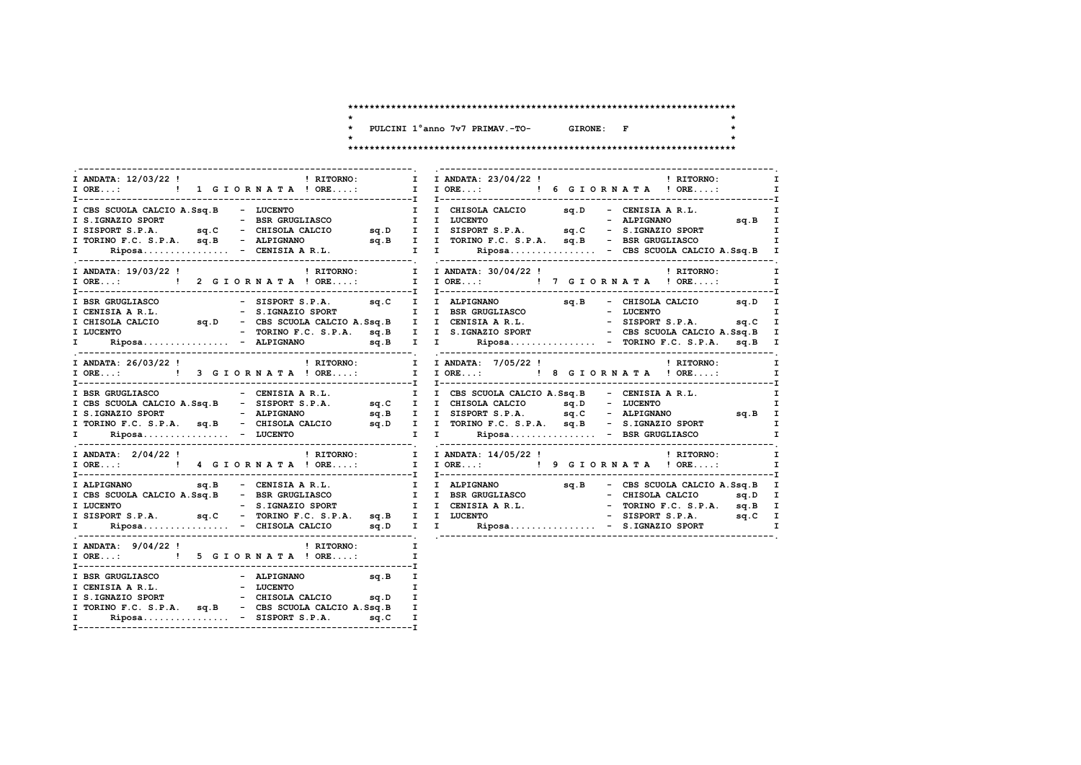$\star$  $\star$ 

 $\star$ 

\* PULCINI 1°anno 7v7 PRIMAV.-TO- GIRONE: F  $\star$ 

| I ANDATA: 12/03/22 !<br>! RITORNO:                                                                                                                                                                                                                                                                                                                                                                                              | I ANDATA: 23/04/22 !<br>$\mathbf{T}$<br>! RITORNO:<br>I ORE:  1 G I O R I OR I ORE: I ORE: I ORE:  1 G I O R I ORE:                                                                                                              |
|---------------------------------------------------------------------------------------------------------------------------------------------------------------------------------------------------------------------------------------------------------------------------------------------------------------------------------------------------------------------------------------------------------------------------------|----------------------------------------------------------------------------------------------------------------------------------------------------------------------------------------------------------------------------------|
|                                                                                                                                                                                                                                                                                                                                                                                                                                 | T CHISOLA CALCIO A.Ssq.B - LUCENTO . I CHISOLA CALCIO . I CHISOLA CALCIO . I CHISOLA CALCIO . I CHISOLA CALCIO . I LUCENTO . I LUCENTO . ALPIGNANO . I SISPORT S.P.A. Sq.C - CHISOLA CALCIO . S.P.A. Sq.C - CHISOLA CALCIO . I   |
| I ANDATA: 19/03/22 !<br>! RITORNO:<br>I ORE: ! 2 G I O R N A T A ! ORE:                                                                                                                                                                                                                                                                                                                                                         | I I ANDATA: 30/04/22 ! PHITORNO:<br>I IORE: ! 7 GIORNATA ! ORE:                                                                                                                                                                  |
|                                                                                                                                                                                                                                                                                                                                                                                                                                 | T<br>The CRISIN AR.L. Strain areas of the strain in the set of the strain in the set of the strain in the strain of the strain in the strain of the strain of the strain in the strain of the strain in the strain in the strain |
| I ANDATA: 26/03/22 !                                                                                                                                                                                                                                                                                                                                                                                                            | ! RITORNO: I I ANDATA: 7/05/22 !<br>! RITORNO:<br>I ORE: [ 3 GIORNATA ! ORE: I I ORE: [ 8 GIORNATA ! ORE:                                                                                                                        |
| T----------------                                                                                                                                                                                                                                                                                                                                                                                                               |                                                                                                                                                                                                                                  |
| I ANDATA: 2/04/22 !                                                                                                                                                                                                                                                                                                                                                                                                             | ! RITORNO: T I ANDATA: 14/05/22 !<br>! RITORNO:                                                                                                                                                                                  |
|                                                                                                                                                                                                                                                                                                                                                                                                                                 |                                                                                                                                                                                                                                  |
| I ANDATA: $9/04/22$ ! PRITORNO:<br>I ORE: ! 5 G I OR N A T A ! ORE:                                                                                                                                                                                                                                                                                                                                                             | $\mathbf{I}$ and $\mathbf{I}$<br>I                                                                                                                                                                                               |
| $\begin{tabular}{lllllllllllll} \texttt{I BSR GRUGLIASCO} & - & ALPIGNANO & & \texttt{sq.B} & \texttt{I} \\ \texttt{I CENISIA A R.L.} & - & \texttt{LUCENTO} & & \texttt{I} \\ \texttt{I S.IGNAZIO SPORT} & - & \texttt{CHISOLA CALCIO} & \texttt{sq.D} & \texttt{I} \\ \texttt{I TORINO F.C. S.P.A.} & \texttt{sq.B} & - & \texttt{CBS SCUOLA CALCIO A.Ssq.B} & \texttt{I} \\ \end{tabular}$<br>I Riposa - SISPORT S.P.A. sq.C | I                                                                                                                                                                                                                                |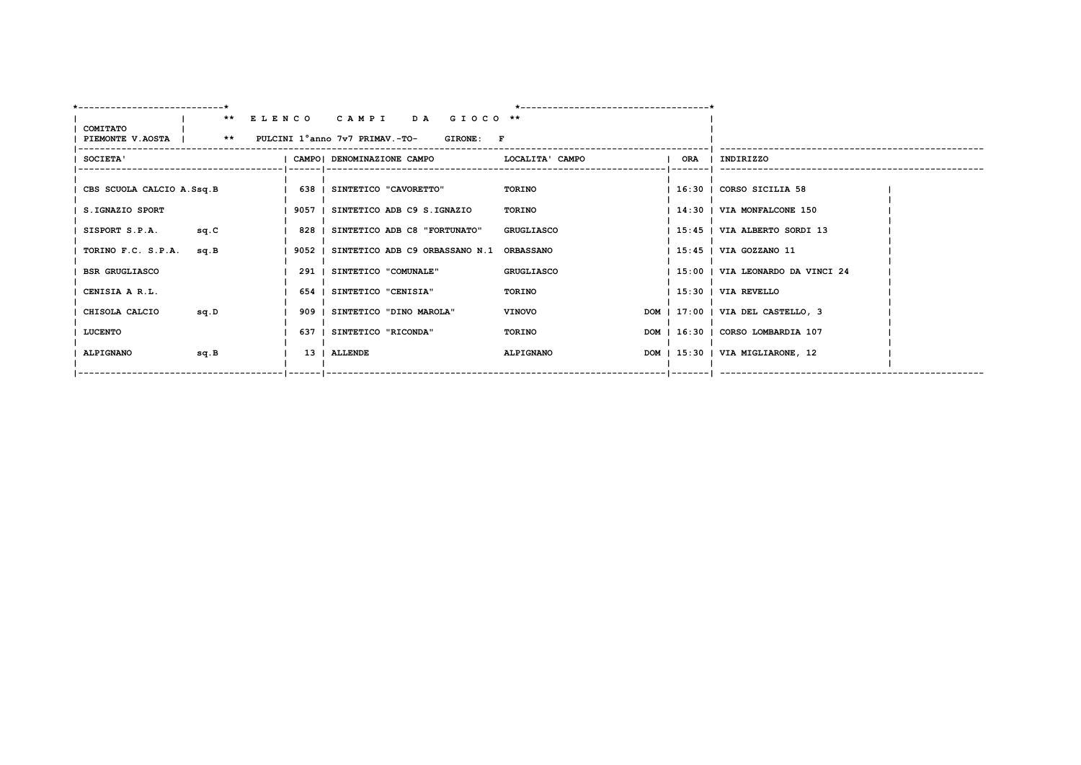| ---------------------------                                             |      |                                                 |                  |                                   |
|-------------------------------------------------------------------------|------|-------------------------------------------------|------------------|-----------------------------------|
|                                                                         |      | ** ELENCO CAMPI DA GIOCO **                     |                  |                                   |
| <b>COMITATO</b><br>PIEMONTE V.AOSTA   ** PULCINI 1°anno 7v7 PRIMAV.-TO- |      | GIRONE: F                                       |                  |                                   |
| <b>SOCIETA'</b>                                                         |      | CAMPO  DENOMINAZIONE CAMPO                      | LOCALITA' CAMPO  | ORA   INDIRIZZO                   |
| CBS SCUOLA CALCIO A.Ssq.B                                               |      | 638   SINTETICO "CAVORETTO"                     | <b>TORINO</b>    | 16:30   CORSO SICILIA 58          |
| S.IGNAZIO SPORT                                                         |      | 9057   SINTETICO ADB C9 S.IGNAZIO               | TORINO           | 14:30   VIA MONFALCONE 150        |
| SISPORT S.P.A.                                                          | sq.C | 828   SINTETICO ADB C8 "FORTUNATO"              | GRUGLIASCO       | 15:45   VIA ALBERTO SORDI 13      |
| TORINO F.C. S.P.A.                                                      | sq.B | 9052   SINTETICO ADB C9 ORBASSANO N.1 ORBASSANO |                  | 15:45   VIA GOZZANO 11            |
| <b>BSR GRUGLIASCO</b>                                                   |      | 291   SINTETICO "COMUNALE"                      | GRUGLIASCO       | 15:00   VIA LEONARDO DA VINCI 24  |
| CENISIA A R.L.                                                          |      | 654   SINTETICO "CENISIA"                       | TORINO           | 15:30   VIA REVELLO               |
| CHISOLA CALCIO                                                          | sq.D | 909   SINTETICO "DINO MAROLA"                   | <b>VINOVO</b>    | DOM   17:00   VIA DEL CASTELLO, 3 |
| LUCENTO                                                                 |      | 637   SINTETICO "RICONDA"                       | TORINO           | DOM   16:30   CORSO LOMBARDIA 107 |
| <b>ALPIGNANO</b>                                                        | sq.B | 13   ALLENDE                                    | <b>ALPIGNANO</b> | DOM   15:30   VIA MIGLIARONE, 12  |
|                                                                         |      |                                                 |                  | _ _______  ___________            |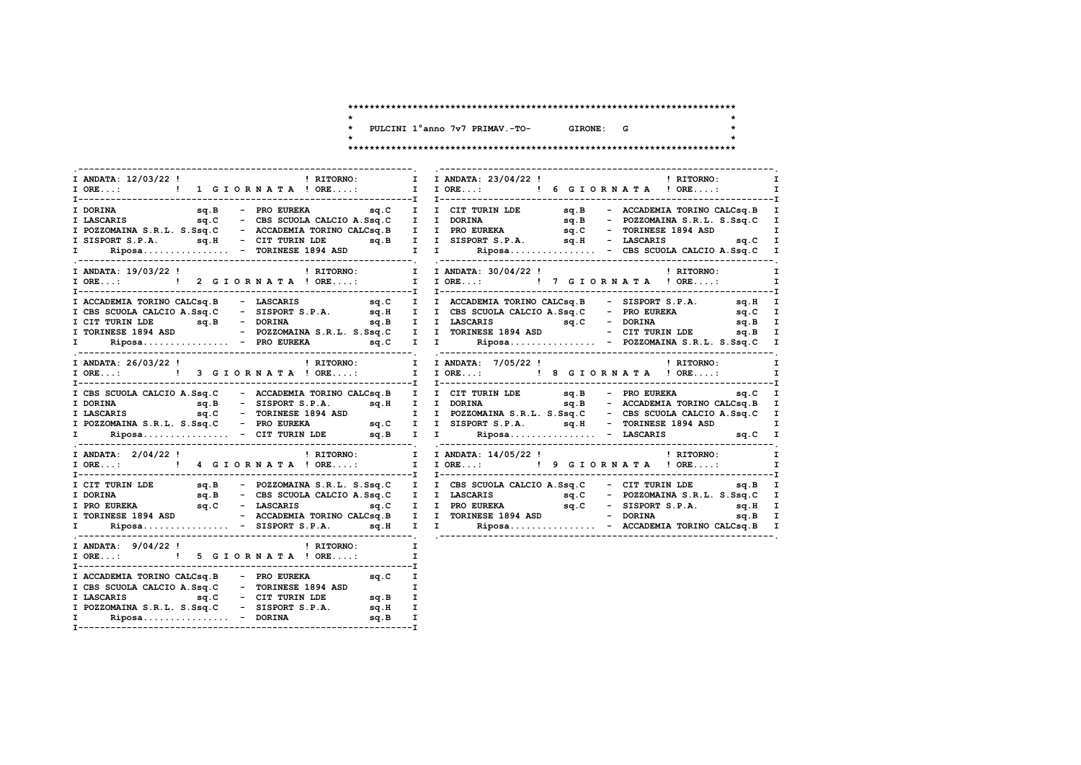$\star$  $\star$ 

 $\star$ 

\* PULCINI 1°anno 7v7 PRIMAV.-TO- GIRONE: G

 $\star$ 

| I ANDATA: 12/03/22 !<br>$\mathbf{I}$ and $\mathbf{I}$ and $\mathbf{I}$ and $\mathbf{I}$ and $\mathbf{I}$ and $\mathbf{I}$ and $\mathbf{I}$ and $\mathbf{I}$ and $\mathbf{I}$ and $\mathbf{I}$ and $\mathbf{I}$ and $\mathbf{I}$ and $\mathbf{I}$ and $\mathbf{I}$ and $\mathbf{I}$ and $\mathbf{I}$ and $\mathbf{I}$ and<br>! RITORNO:             | I ANDATA: 23/04/22 !<br>! RITORNO:<br>I                                                                                                                                                                                            |
|----------------------------------------------------------------------------------------------------------------------------------------------------------------------------------------------------------------------------------------------------------------------------------------------------------------------------------------------------|------------------------------------------------------------------------------------------------------------------------------------------------------------------------------------------------------------------------------------|
|                                                                                                                                                                                                                                                                                                                                                    |                                                                                                                                                                                                                                    |
|                                                                                                                                                                                                                                                                                                                                                    |                                                                                                                                                                                                                                    |
|                                                                                                                                                                                                                                                                                                                                                    |                                                                                                                                                                                                                                    |
|                                                                                                                                                                                                                                                                                                                                                    |                                                                                                                                                                                                                                    |
|                                                                                                                                                                                                                                                                                                                                                    |                                                                                                                                                                                                                                    |
|                                                                                                                                                                                                                                                                                                                                                    |                                                                                                                                                                                                                                    |
|                                                                                                                                                                                                                                                                                                                                                    | FINIX and the sq.B - PRO EUREKA<br>I LASCARIS and the sq.B - RO EUREKA<br>I LASCARIS and C - CBS SCUOLA CALCIO A.Sq.C I I DORINA and The sq.B - ACCADEMIAN S.R.L. S.Ssq.C - ACCADEMIAN TORINO CALCSq.B I I PRO EUREKA and C - TORI |
| I ANDATA: 19/03/22 !                                                                                                                                                                                                                                                                                                                               | ! RITORNO:<br>! RITORNO: I I ANDATA: 30/04/22 !                                                                                                                                                                                    |
| I ORE: ! 2 G I O R N A T A ! ORE:                                                                                                                                                                                                                                                                                                                  | I IORE: ! 7 GIORNATA ! ORE:<br>$\mathbf{I}$                                                                                                                                                                                        |
|                                                                                                                                                                                                                                                                                                                                                    |                                                                                                                                                                                                                                    |
|                                                                                                                                                                                                                                                                                                                                                    |                                                                                                                                                                                                                                    |
|                                                                                                                                                                                                                                                                                                                                                    |                                                                                                                                                                                                                                    |
|                                                                                                                                                                                                                                                                                                                                                    |                                                                                                                                                                                                                                    |
|                                                                                                                                                                                                                                                                                                                                                    |                                                                                                                                                                                                                                    |
|                                                                                                                                                                                                                                                                                                                                                    |                                                                                                                                                                                                                                    |
| I ANDATA: 26/03/22 !<br>! RITORNO: I I ANDATA: 7/05/22 !                                                                                                                                                                                                                                                                                           | ! RITORNO:<br>$\mathbf{I}$                                                                                                                                                                                                         |
| I ORE: ! 3 G I OR N A T A ! ORE: I I ORE: ! 8 G I OR N A T A ! ORE:                                                                                                                                                                                                                                                                                | I                                                                                                                                                                                                                                  |
|                                                                                                                                                                                                                                                                                                                                                    |                                                                                                                                                                                                                                    |
|                                                                                                                                                                                                                                                                                                                                                    |                                                                                                                                                                                                                                    |
|                                                                                                                                                                                                                                                                                                                                                    |                                                                                                                                                                                                                                    |
|                                                                                                                                                                                                                                                                                                                                                    |                                                                                                                                                                                                                                    |
|                                                                                                                                                                                                                                                                                                                                                    |                                                                                                                                                                                                                                    |
|                                                                                                                                                                                                                                                                                                                                                    | T CBS SCUOLA CALCIO A.Sq.C - ACCADEMIA TORING CALCSq.B I I CIT TURIN LDE sq.B - RCCADEMIA TORINO CALCSq.B I I CORINA<br>I DORINA sq.B - SISPORT S.P.A. sq.F I I DORINA S.R.L. S.Sq.C - CBS SCUOLA CALCIO A.Sq.C I<br>I POZZOMAINA  |
| I ANDATA: 2/04/22 !                                                                                                                                                                                                                                                                                                                                | $\blacksquare$ RITORNO: $\blacksquare$ I ANDATA: $14/05/22$ ! $\blacksquare$ I RITORNO:<br>I                                                                                                                                       |
|                                                                                                                                                                                                                                                                                                                                                    | $\mathbf{I}$                                                                                                                                                                                                                       |
|                                                                                                                                                                                                                                                                                                                                                    | I CIT TURIN LDE sq.B - POZZOMAINA S.R.L. S.Ssq.C I I CBS SCUOLA CALCIO A.Ssq.C - CIT TURIN LDE sq.B I                                                                                                                              |
|                                                                                                                                                                                                                                                                                                                                                    |                                                                                                                                                                                                                                    |
|                                                                                                                                                                                                                                                                                                                                                    |                                                                                                                                                                                                                                    |
|                                                                                                                                                                                                                                                                                                                                                    |                                                                                                                                                                                                                                    |
|                                                                                                                                                                                                                                                                                                                                                    | TRORING EXECUTE CONSIDERED ASSOCIATE DORINA EXECUTE OF SECULAR CALCIO A.SSQ.C I I DASCARIS SQ.C = POZZOMATNA S.R.L. S.SSQ.C I TRORINGSE 1894 ASD = CCADEMIA TORING CALCIO A.SSQ.C I I PRO EUREKA SQ.C = SISPORT S.P.A. SQ.H. I     |
| I ANDATA: $9/04/22$ ! RITORNO:                                                                                                                                                                                                                                                                                                                     | I                                                                                                                                                                                                                                  |
| I ORE: ! 5 G I OR N A T A ! ORE:                                                                                                                                                                                                                                                                                                                   | I                                                                                                                                                                                                                                  |
|                                                                                                                                                                                                                                                                                                                                                    |                                                                                                                                                                                                                                    |
| $\begin{tabular}{lllllllllllll} \texttt{I}\ \texttt{ACCADEMIA}\ \texttt{TORINO}\ \texttt{CALC1O}\ \texttt{A}.\texttt{Ssq.C} & - & \texttt{FORINESE}\ 1894\ \texttt{ASD} & & & \texttt{I} \\ \texttt{I}\ \texttt{LASCARIS} & & & \texttt{sq.C} & - & \texttt{CIT}\ \texttt{URIN}\ \texttt{LDE} & & & \texttt{sq.B} & & \texttt{I} \\ \end{tabular}$ |                                                                                                                                                                                                                                    |
|                                                                                                                                                                                                                                                                                                                                                    |                                                                                                                                                                                                                                    |
|                                                                                                                                                                                                                                                                                                                                                    | I                                                                                                                                                                                                                                  |
| I POZZOMAINA S.R.L. S.Ssq.C - SISPORT S.P.A. sq.H<br>I Riposa - DORINA sq.B                                                                                                                                                                                                                                                                        | I                                                                                                                                                                                                                                  |
|                                                                                                                                                                                                                                                                                                                                                    |                                                                                                                                                                                                                                    |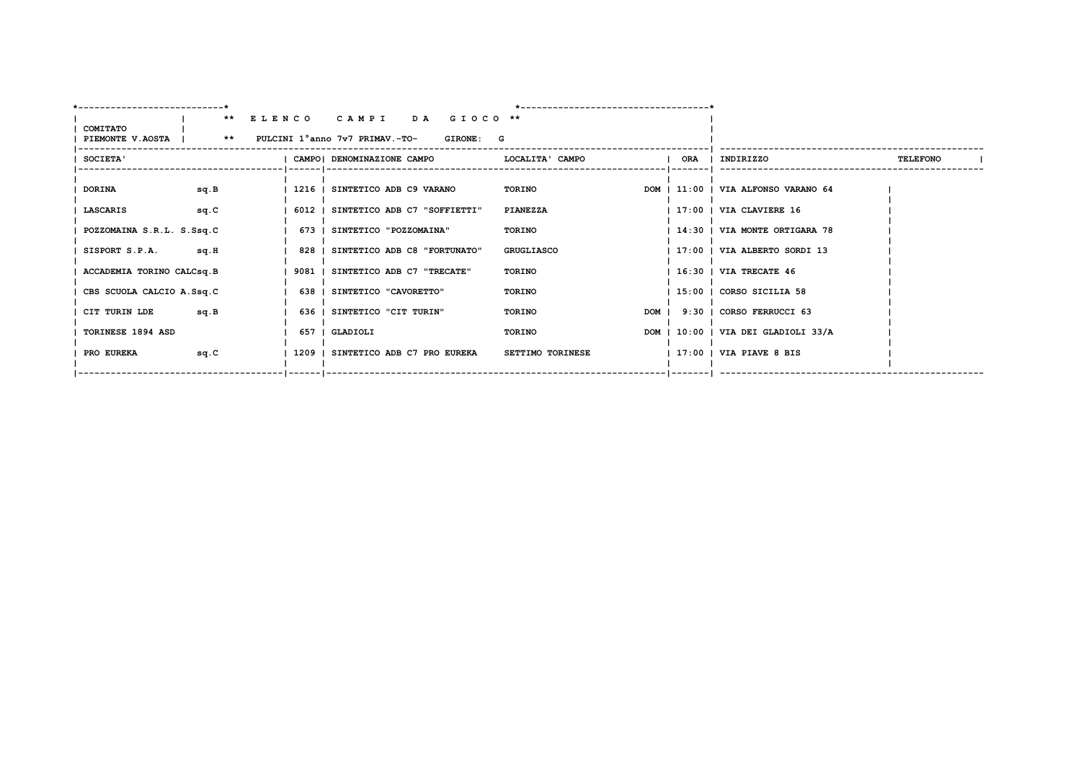| ---------------------------*                                            |      |                                           |                   |                         |     |                                     |                 |
|-------------------------------------------------------------------------|------|-------------------------------------------|-------------------|-------------------------|-----|-------------------------------------|-----------------|
|                                                                         |      | ** ELENCO CAMPI<br>DA GIOCO <sup>**</sup> |                   |                         |     |                                     |                 |
| <b>COMITATO</b><br>PIEMONTE V.AOSTA   ** PULCINI 1°anno 7v7 PRIMAV.-TO- |      | GIRONE: G                                 |                   |                         |     |                                     |                 |
| SOCIETA'                                                                |      | CAMPO  DENOMINAZIONE CAMPO                | LOCALITA' CAMPO   |                         | ORA | INDIRIZZO                           | <b>TELEFONO</b> |
| <b>DORINA</b>                                                           | sq.B | 1216   SINTETICO ADB C9 VARANO            | TORINO            |                         |     | DOM   11:00   VIA ALFONSO VARANO 64 |                 |
| LASCARIS                                                                | sq.C | 6012   SINTETICO ADB C7 "SOFFIETTI"       | PIANEZZA          |                         |     | 17:00   VIA CLAVIERE 16             |                 |
| POZZOMAINA S.R.L. S.Ssq.C                                               |      | 673   SINTETICO "POZZOMAINA"              | TORINO            |                         |     | 14:30   VIA MONTE ORTIGARA 78       |                 |
| SISPORT S.P.A.                                                          | sq.H | 828   SINTETICO ADB C8 "FORTUNATO"        | <b>GRUGLIASCO</b> |                         |     | 17:00   VIA ALBERTO SORDI 13        |                 |
| ACCADEMIA TORINO CALCsq.B                                               |      | 9081   SINTETICO ADB C7 "TRECATE"         | TORINO            |                         |     | 16:30   VIA TRECATE 46              |                 |
| CBS SCUOLA CALCIO A.Ssq.C                                               |      | 638   SINTETICO "CAVORETTO"               | <b>TORINO</b>     |                         |     | 15:00   CORSO SICILIA 58            |                 |
| CIT TURIN LDE                                                           | sq.B | 636   SINTETICO "CIT TURIN"               | TORINO            |                         |     | DOM   9:30   CORSO FERRUCCI 63      |                 |
| TORINESE 1894 ASD                                                       |      | 657   GLADIOLI                            | TORINO            |                         |     | DOM   10:00   VIA DEI GLADIOLI 33/A |                 |
| <b>PRO EUREKA</b>                                                       | sq.C | 1209   SINTETICO ADB C7 PRO EUREKA        | SETTIMO TORINESE  |                         |     | $1$ 17:00 $\pm$ VIA PIAVE 8 BIS     |                 |
|                                                                         |      | --   ------   ------------------          |                   | --------------- ------- |     |                                     |                 |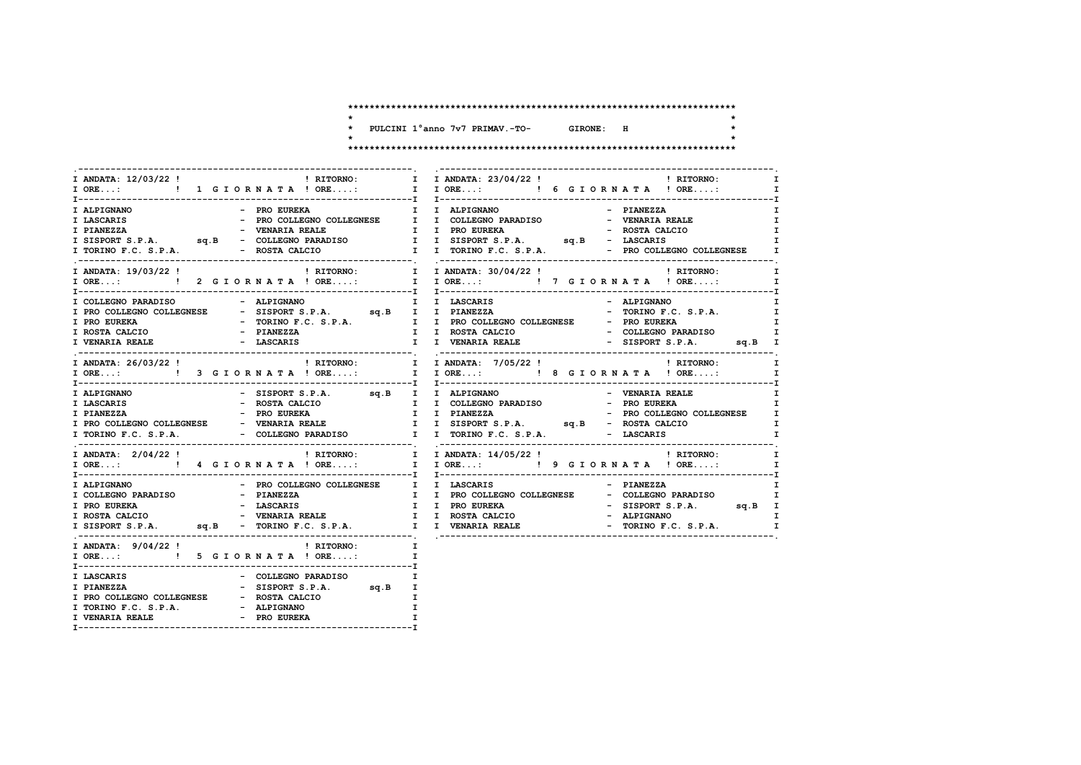$\star$  $\star$ 

 $\star$ 

- \* PULCINI 1°anno 7v7 PRIMAV.-TO- GIRONE: H
- $\star$

| I ANDATA: $12/03/22$ ! $\qquad$ ! RITORNO: $\qquad$ I ANDATA: $23/04/22$ ! $\qquad$ ! RITORNO:<br>- PRO EUREKA<br>I ALPIGNANO                                                 | $\mathbf{I}$<br>I ORE:      !  1 G I O R N A T A ! ORE:      I I ORE:      ! 6 G I O R N A T A ! ORE:      I I ORE:      I I ORE 1<br>$\mathbf{I}$<br>I I ALPIGNANO<br>$\mathbf{I}$<br>- PIANEZZA<br>$\mathbf{I}$<br>$\mathbf{I}$<br>$\mathbf{I}$<br>$\mathbf{I}$   |
|-------------------------------------------------------------------------------------------------------------------------------------------------------------------------------|---------------------------------------------------------------------------------------------------------------------------------------------------------------------------------------------------------------------------------------------------------------------|
| ! RITORNO: I I ANDATA: 30/04/22 !<br>I ANDATA: 19/03/22 !<br>I ORE: ! 2 GIORNATA ! ORE:                                                                                       | <b>EXECUTE:</b> RITORNO:<br>$\mathbf{I}$<br>I IORE: ! 7 GIORNATA ! ORE:<br>$\mathbf{I}$                                                                                                                                                                             |
| I PRO EUREKA<br>I ROSTA CALCIO<br><b>I VENARIA REALE</b>                                                                                                                      | - ALPIGNANO<br>$\mathbf{I}$<br>- TORINO F.C. S.P.A. I<br>NESE - SISTEND F.C. S.P.A. I I PRO COLLEGNO COLLEGNESE - PRO EUREKA I<br>- TORINO F.C. S.P.A. I I PRO COLLEGNO COLLEGNESE - PRO EUREKA I<br>- FIANEZZA I I VENARIA REALEIO - SISPORT S.P.A. sq.B I         |
| I ANDATA: 26/03/22 !<br>I ORE:  1 ORE:  1 ORE: I TORE:  1 ORE:  1 ORE:  1 ORE:  1 ORE:  1 ORE:  1 ORE:  1 ORE:  1 ORE:  1 ORE:  1 ORE:  1 ORE:  1 ORE:  1 ORE:  1 ORE:  1 ORE | ! RITORNO: I<br>! RITORNO: I I ANDATA: 7/05/22 !<br>$\mathbf{I}$                                                                                                                                                                                                    |
| - SISPORT S.P.A. sq.B I I ALPIGNANO<br>I ALPIGNANO<br>I LASCARIS<br>- ROSTA CALCIO                                                                                            | - VENARIA REALE<br>$\mathbf I$<br>I I COLLEGNO PARADISO - PRO EUREKA<br>I<br>T PIANEZZA – PRO EUREKA I I PIANEZZA – PRO COLLEGNO COLLEGNESE I<br>I PRO COLLEGNO COLLEGNESE – VENARIA REALE I I SISPORT S.P.A. sq.B – ROSTA CALCIO I<br>$\mathbf{I}$<br>$\mathbf{I}$ |
| I ANDATA: 2/04/22 !                                                                                                                                                           | $\mathbf{I}$                                                                                                                                                                                                                                                        |
| - PRO COLLEGNO COLLEGNESE I I LASCARIS<br>I ALPIGNANO                                                                                                                         | - PIANEZZA<br>I.<br>T COLLEGNO PARADISO<br>T PRO EUREKA T T PRO COLLEGNO COLLEGNO COLLEGNO PARADISO<br>T PRO EUREKA - LASCARIS T T PRO EUREKA - SISPORT S.P.A. Sq.B I<br>T ROSTA CALCIO - VENARIA REALE I I ROSTA CALCIO - ALPIGNANO I<br>T SISPORT S.P.A           |
| I ANDATA: $9/04/22$ ! PITORNO:<br>$\mathbf{I}$ and $\mathbf{I}$<br>I ORE: ! 5 G I OR N A T A ! ORE:                                                                           | $\mathbf{I}$                                                                                                                                                                                                                                                        |
| I LASCARIS<br>- COLLEGNO PARADISO<br>- SISPORT S D D<br>- SISPORT S.P.A. sq.B<br>I PIANEZZA<br>I PRO COLLEGNO COLLEGNESE - ROSTA CALCIO                                       | I.<br>I<br>I<br>I.                                                                                                                                                                                                                                                  |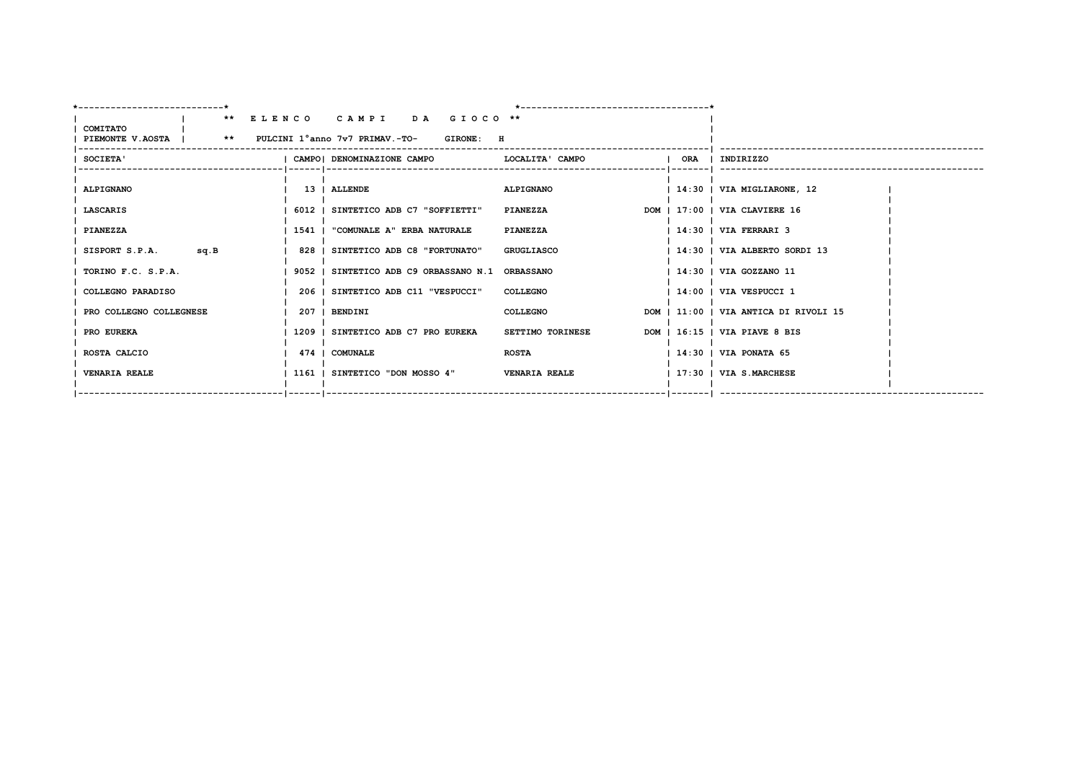| ---------------------------*                                     |      |  |                                                 |                  |                                                        | ---------------------------------- |             |                                       |  |
|------------------------------------------------------------------|------|--|-------------------------------------------------|------------------|--------------------------------------------------------|------------------------------------|-------------|---------------------------------------|--|
|                                                                  |      |  | ** ELENCO CAMPI DA GIOCO **                     |                  |                                                        |                                    |             |                                       |  |
| COMITATO<br>PIEMONTE V.AOSTA   ** PULCINI 1°anno 7v7 PRIMAV.-TO- |      |  |                                                 | <b>GIRONE: H</b> |                                                        |                                    |             |                                       |  |
|                                                                  |      |  |                                                 |                  |                                                        |                                    |             |                                       |  |
| SOCIETA'                                                         |      |  |                                                 |                  | CAMPO   DENOMINAZIONE CAMPO           LOCALITA ' CAMPO |                                    | $1$ ORA $1$ | INDIRIZZO                             |  |
|                                                                  |      |  |                                                 |                  |                                                        |                                    |             |                                       |  |
| <b>ALPIGNANO</b>                                                 |      |  | 13   ALLENDE                                    |                  | ALPIGNANO                                              |                                    |             | 14:30   VIA MIGLIARONE, 12            |  |
| LASCARIS                                                         |      |  | 6012   SINTETICO ADB C7 "SOFFIETTI"             |                  | PIANEZZA                                               |                                    |             | DOM   17:00   VIA CLAVIERE 16         |  |
|                                                                  |      |  |                                                 |                  |                                                        |                                    |             |                                       |  |
| <b>PIANEZZA</b>                                                  |      |  | 1541   "COMUNALE A" ERBA NATURALE               |                  | <b>PIANEZZA</b>                                        |                                    |             | $1$ 14:30 $\mid$ VIA FERRARI 3        |  |
| SISPORT S.P.A.                                                   | sq.B |  | 828   SINTETICO ADB C8 "FORTUNATO"              |                  | <b>GRUGLIASCO</b>                                      |                                    |             | 14:30   VIA ALBERTO SORDI 13          |  |
|                                                                  |      |  |                                                 |                  |                                                        |                                    |             |                                       |  |
| TORINO F.C. S.P.A.                                               |      |  | 9052   SINTETICO ADB C9 ORBASSANO N.1 ORBASSANO |                  |                                                        |                                    |             | 14:30   VIA GOZZANO 11                |  |
| COLLEGNO PARADISO                                                |      |  | 206   SINTETICO ADB C11 "VESPUCCI"              |                  | <b>COLLEGNO</b>                                        |                                    |             | $1.4:00$   VIA VESPUCCI 1             |  |
|                                                                  |      |  |                                                 |                  |                                                        |                                    |             | DOM   11:00   VIA ANTICA DI RIVOLI 15 |  |
| PRO COLLEGNO COLLEGNESE                                          |      |  | 207   BENDINI                                   |                  | <b>COLLEGNO</b>                                        |                                    |             |                                       |  |
| PRO EUREKA                                                       |      |  | 1209   SINTETICO ADB C7 PRO EUREKA              |                  | SETTIMO TORINESE                                       |                                    |             | DOM   16:15   VIA PIAVE 8 BIS         |  |
| ROSTA CALCIO                                                     |      |  | 474   COMUNALE                                  |                  | <b>ROSTA</b>                                           |                                    |             | $ 14:30 $ VIA PONATA 65               |  |
|                                                                  |      |  |                                                 |                  |                                                        |                                    |             |                                       |  |
| <b>VENARIA REALE</b>                                             |      |  | 1161   SINTETICO "DON MOSSO 4"                  |                  | <b>VENARIA REALE</b>                                   |                                    |             | 17:30   VIA S.MARCHESE                |  |
|                                                                  |      |  |                                                 |                  |                                                        |                                    |             |                                       |  |
|                                                                  |      |  |                                                 |                  |                                                        |                                    |             |                                       |  |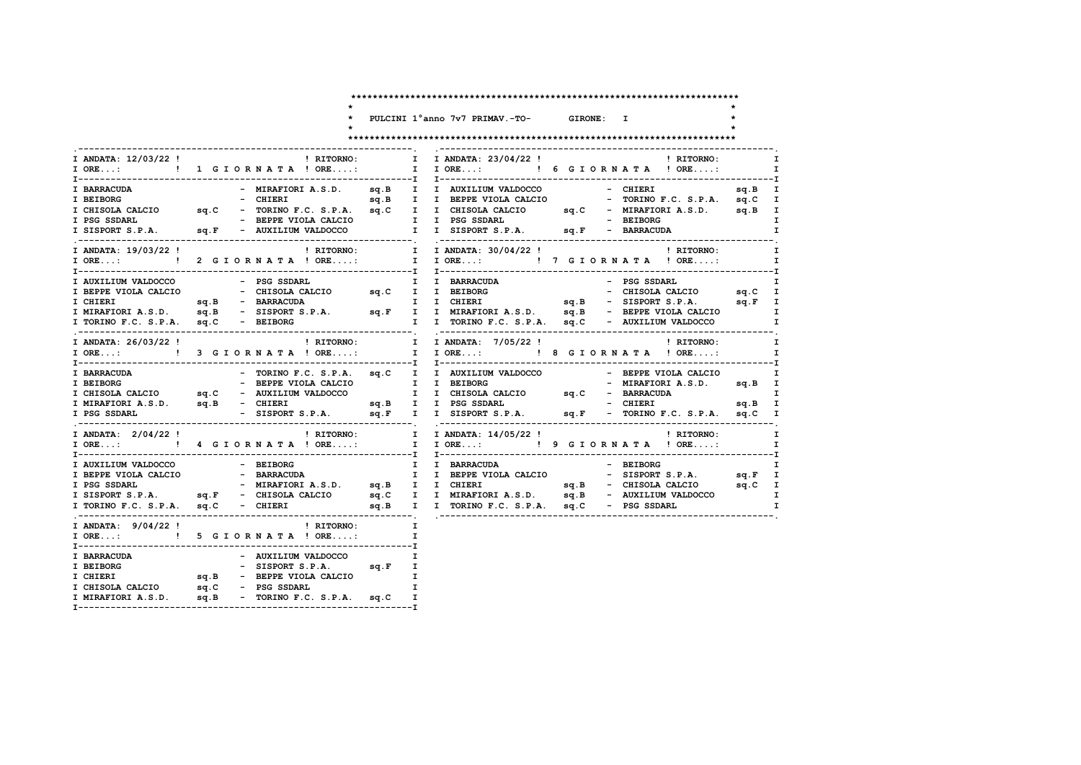$\star$ 

 $\star$ 

 $\star$ 

\* PULCINI 1°anno 7v7 PRIMAV.-TO- GIRONE: I

 $\mathbf{r}$ 

|                                                                            | I ANDATA: 12/03/22 ! RITORNO:                                                                                                                                 | $\mathbf{I}$<br>I ANDATA: 23/04/22 !<br>$\blacksquare$ $\blacksquare$ $\blacksquare$ $\blacksquare$ $\blacksquare$ $\blacksquare$ $\blacksquare$ $\blacksquare$ $\blacksquare$ $\blacksquare$ $\blacksquare$ $\blacksquare$ $\blacksquare$ $\blacksquare$ $\blacksquare$ $\blacksquare$ $\blacksquare$ $\blacksquare$ $\blacksquare$ $\blacksquare$ $\blacksquare$ $\blacksquare$ $\blacksquare$ $\blacksquare$ $\blacksquare$ $\blacksquare$ $\blacksquare$ $\blacksquare$ $\blacksquare$ $\blacksquare$ $\blacksquare$ $\blacks$<br>$\mathbf I$ |
|----------------------------------------------------------------------------|---------------------------------------------------------------------------------------------------------------------------------------------------------------|---------------------------------------------------------------------------------------------------------------------------------------------------------------------------------------------------------------------------------------------------------------------------------------------------------------------------------------------------------------------------------------------------------------------------------------------------------------------------------------------------------------------------------------------------|
| <b>I BARRACUDA</b><br>I BEIBORG                                            | - CHIERI                                                                                                                                                      | - MIRAFIORI A.S.D. sq.B I I AUXILIUM VALDOCCO<br>- CHIERI<br>sq.B I<br>sq.B I I BEPPE VIOLA CALCIO<br>- TORINO F.C. S.P.A. sq.C I<br>T CHISOLA CALCIO sq.C - TORINO F.C. S.P.A. sq.C I I CHISOLA CALCIO sq.C - MIRAFIORI A.S.D. sq.B I<br>- BEIBORG<br>I.<br>sq.F - AUXILIUM VALDOCCO I I I SISPORT S.P.A. Sq.F - BARRACUDA<br>$\mathbf{I}$                                                                                                                                                                                                       |
| I ANDATA: 19/03/22 !                                                       | ! RITORNO:                                                                                                                                                    | I I ANDATA: 30/04/22!<br><b>Example 12 In Property PETORNO:</b><br>$\mathbf I$                                                                                                                                                                                                                                                                                                                                                                                                                                                                    |
| I AUXILIUM VALDOCCO<br>I TORINO F.C. S.P.A. sq.C - BEIBORG                 | - PSG SSDARL<br>I BEPPE VIOLA CALCIO $-$ CHISOLA CALCIO $sq.C$ I I BEIBORG                                                                                    | I I BARRACUDA<br>- PSG SSDARL<br>I<br>CHISOLA CALCIO sq.C I – CHISOLA CALCIO sq.E I<br>I I TORINO F.C. S.P.A. sq.C - AUXILIUM VALDOCCO<br>$\mathbf I$                                                                                                                                                                                                                                                                                                                                                                                             |
| I ANDATA: 26/03/22 !                                                       | ! RITORNO:<br>I ORE: ! 3 GIORNATA ! ORE:                                                                                                                      | I I ANDATA: 7/05/22 ! 1 RITORNO:<br>I                                                                                                                                                                                                                                                                                                                                                                                                                                                                                                             |
| <b>I BARRACUDA</b><br>I BEIBORG<br>I MIRAFIORI A.S.D. sq.B<br>I PSG SSDARL | - BEPPE VIOLA CALCIO I I BEIBORG<br>- CHIERI<br>sq.B I I PSG SSDARL                                                                                           | - TORINO F.C. S.P.A. sq.C  I I AUXILIUM VALDOCCO    - BEPPE VIOLA CALCIO    I<br>- MIRAFIORI A.S.D. sq.B I<br>I I CHISOLA CALCIO sq.C - BARRACUDA<br>$\mathbf{I}$<br>- SISPORT S.P.A. sq.F I I SISPORT S.P.A. sq.F - TORINO F.C. S.P.A. sq.C I                                                                                                                                                                                                                                                                                                    |
|                                                                            | I ANDATA: 2/04/22 ! RITORNO:<br>I ORE: ! 4 G I O R N A T A ! ORE:                                                                                             | I I ANDATA: 14/05/22 !<br>! RITORNO:<br>$\mathbf{I}$<br>I IORE: ! 9 GIORNATA ! ORE:<br>$\mathbf I$                                                                                                                                                                                                                                                                                                                                                                                                                                                |
| I AUXILIUM VALDOCCO                                                        | - BEIBORG<br>I TORINO F.C. S.P.A. sq.C - CHIERI                                                                                                               | I I BARRACUDA<br>- BEIBORG<br>I<br>T BEPPE VIOLA CALCIO – THE THE VIOLA CALCIO – SISPORT S.P.A. SQ.F I<br>I PSG SSDARL – MIRAFIORI A.S.D. SQ.B I I CHIERI – SISPORT S.P.A. SQ.C I<br>I SISPORT S.P.A. SQ.F – CHISOLA CALCIO – SQ.C I I MIRAFIORI A.S.D. SQ.B – AUXILI<br>$\mathbf{I}$                                                                                                                                                                                                                                                             |
| I ANDATA: $9/04/22$ !<br>$I$ ORE:                                          | ! RITORNO:<br>! 5 GIORNATA ! ORE:                                                                                                                             | $\mathbf{I}$<br>$\mathbf{I}$                                                                                                                                                                                                                                                                                                                                                                                                                                                                                                                      |
| I BARRACUDA<br>I BEIBORG                                                   | - AUXILIUM VALDOCCO<br>- SISPORT S.P.A. sq.F I<br>I BEIBONG - SISPORT S.P.A. Sq.F<br>I CHIERI Sq.B - BEPPE VIOLA CALCIO<br>I CHISOLA CALCIO sq.C - PSG SSDARL | I<br>$\mathbf{I}$<br>I.                                                                                                                                                                                                                                                                                                                                                                                                                                                                                                                           |
| I MIRAFIORI A.S.D.                                                         | sq.B<br>- TORINO F.C. S.P.A.<br>sa.C                                                                                                                          |                                                                                                                                                                                                                                                                                                                                                                                                                                                                                                                                                   |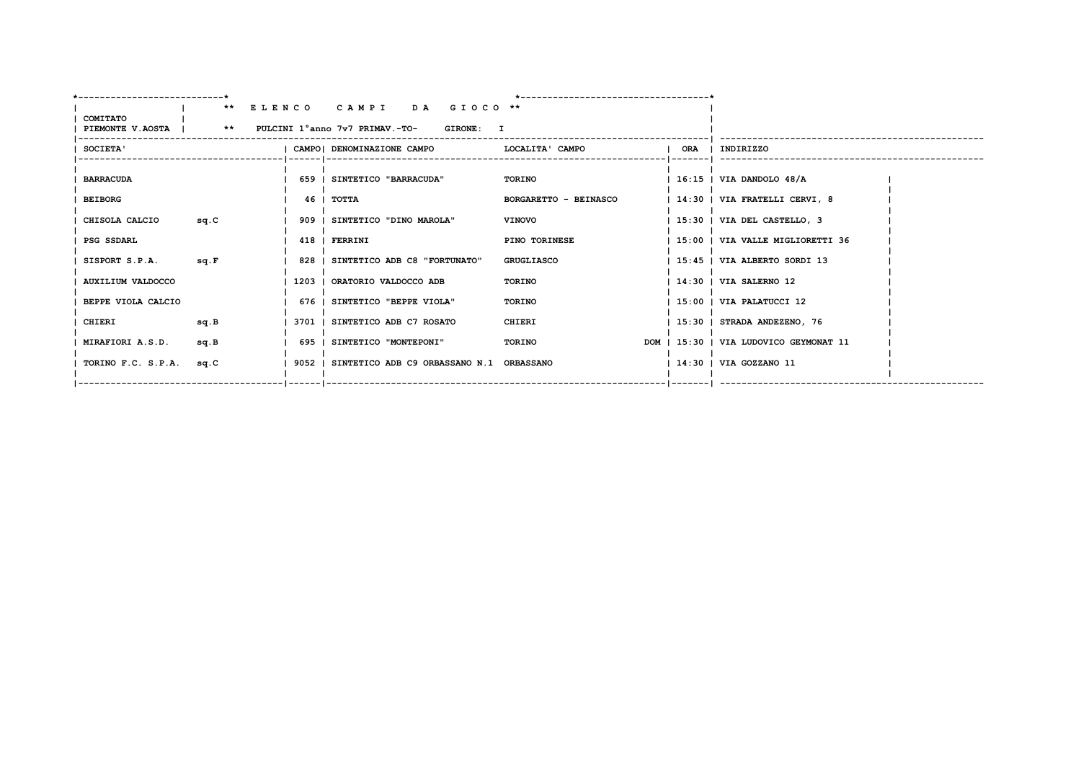|                                                                                                    |                         |      |  |  | ** ELENCO CAMPI DA GIOCO **                                  |                       |  |                                        |
|----------------------------------------------------------------------------------------------------|-------------------------|------|--|--|--------------------------------------------------------------|-----------------------|--|----------------------------------------|
| COMITATO<br>  PIEMONTE V.AOSTA           **     PULCINI 1°anno 7v7 PRIMAV.-TO-<br><b>GIRONE: I</b> |                         |      |  |  |                                                              |                       |  |                                        |
| ---------                                                                                          |                         |      |  |  |                                                              |                       |  |                                        |
|                                                                                                    | <b>SOCIETA'</b>         |      |  |  | CAMPO  DENOMINAZIONE CAMPO                   LOCALITA' CAMPO |                       |  | ORA   INDIRIZZO                        |
|                                                                                                    |                         |      |  |  |                                                              |                       |  |                                        |
|                                                                                                    | <b>BARRACUDA</b>        |      |  |  | 659   SINTETICO "BARRACUDA"                                  | TORINO                |  | $1.16:15$   VIA DANDOLO 48/A           |
|                                                                                                    | <b>BEIBORG</b>          |      |  |  | 46   TOTTA                                                   | BORGARETTO - BEINASCO |  | 14:30   VIA FRATELLI CERVI, 8          |
|                                                                                                    |                         |      |  |  |                                                              |                       |  |                                        |
|                                                                                                    | CHISOLA CALCIO          | sq.C |  |  | 909   SINTETICO "DINO MAROLA"                                | <b>VINOVO</b>         |  | 15:30   VIA DEL CASTELLO, 3            |
|                                                                                                    | PSG SSDARL              |      |  |  | 418   FERRINI                                                | PINO TORINESE         |  | 15:00   VIA VALLE MIGLIORETTI 36       |
|                                                                                                    |                         |      |  |  |                                                              |                       |  |                                        |
|                                                                                                    | SISPORT S.P.A.          | sq.F |  |  | 828   SINTETICO ADB C8 "FORTUNATO"                           | <b>GRUGLIASCO</b>     |  | 15:45   VIA ALBERTO SORDI 13           |
|                                                                                                    | AUXILIUM VALDOCCO       |      |  |  | 1203   ORATORIO VALDOCCO ADB                                 | TORINO                |  | 14:30   VIA SALERNO 12                 |
|                                                                                                    |                         |      |  |  |                                                              |                       |  |                                        |
|                                                                                                    | BEPPE VIOLA CALCIO      |      |  |  | 676   SINTETICO "BEPPE VIOLA"                                | TORINO                |  | $1 15:00$   VIA PALATUCCI 12           |
|                                                                                                    | CHIERI                  | sq.B |  |  | 3701   SINTETICO ADB C7 ROSATO                               | CHIERI                |  | $ 15:30 $ STRADA ANDEZENO, 76          |
|                                                                                                    | <b>MIRAFIORI A.S.D.</b> | sq.B |  |  | 695   SINTETICO "MONTEPONI"                                  | TORINO                |  | DOM   15:30   VIA LUDOVICO GEYMONAT 11 |
|                                                                                                    |                         |      |  |  |                                                              |                       |  |                                        |
|                                                                                                    | TORINO F.C. S.P.A.      | sq.C |  |  | 1 9052 1 SINTETICO ADB C9 ORBASSANO N.1 ORBASSANO            |                       |  | 14:30   VIA GOZZANO 11                 |
|                                                                                                    |                         |      |  |  |                                                              |                       |  |                                        |
|                                                                                                    |                         |      |  |  |                                                              |                       |  |                                        |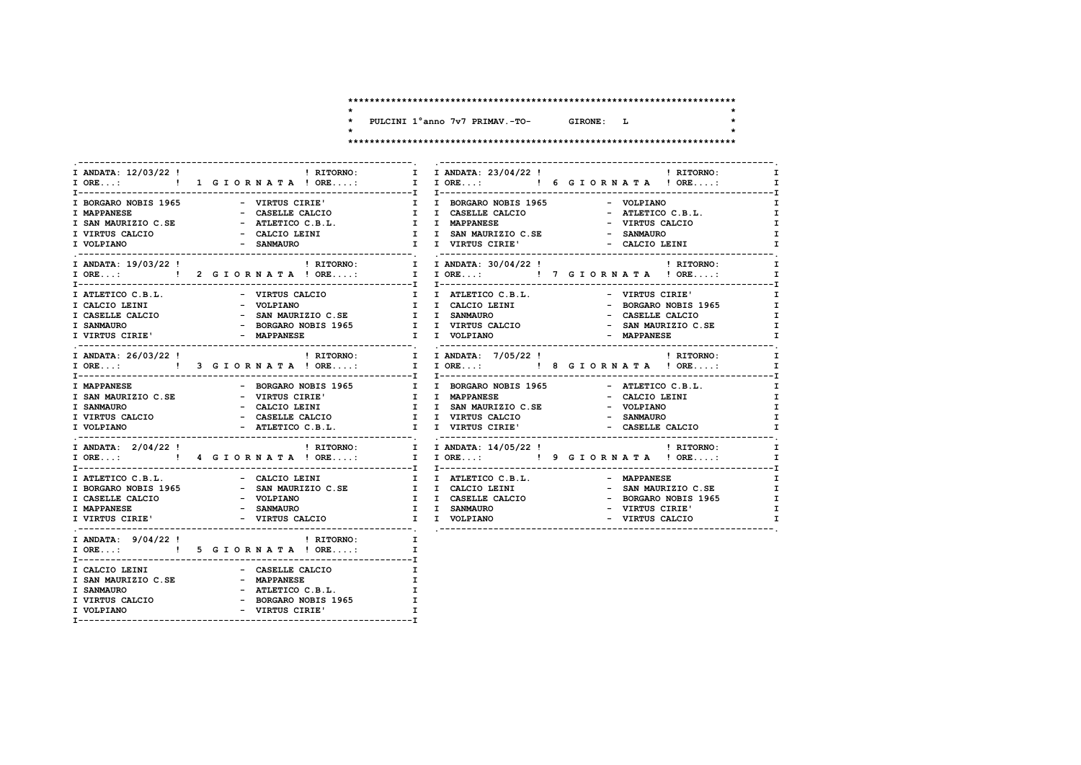| $\star$ | PULCINI 1° anno 7v7 PRIMAV.-TO- | <b>GIRONE:</b> | т. |  |
|---------|---------------------------------|----------------|----|--|
|         |                                 |                |    |  |

# 

|                                          |                                      |                                                                                                                                                         | $\mathbf{I}$ |
|------------------------------------------|--------------------------------------|---------------------------------------------------------------------------------------------------------------------------------------------------------|--------------|
|                                          | I BORGARO NOBIS 1965 - VIRTUS CIRIE' | I I BORGARO NOBIS 1965 - VOLPIANO                                                                                                                       | I.           |
| $\mathbf{r} = \mathbf{r}$<br>I MAPPANESE |                                      |                                                                                                                                                         | $\mathbf{I}$ |
| I SAN MAURIZIO C.SE                      | - ATLETICO C.B.L.                    |                                                                                                                                                         | $\mathbf{I}$ |
|                                          |                                      |                                                                                                                                                         |              |
| I VIRTUS CALCIO                          |                                      |                                                                                                                                                         | I.           |
| I VOLPIANO                               |                                      |                                                                                                                                                         | $\mathbf{I}$ |
|                                          |                                      | I ANDATA: 19/03/22 !                                     RITORNO:         I   I ANDATA: 30/04/22 !                                   RITORNO:         I |              |
|                                          |                                      |                                                                                                                                                         | $\mathbf{I}$ |
|                                          |                                      |                                                                                                                                                         |              |
| I ATLETICO C.B.L.                        |                                      | - VIRTUS CALCIO TO I I ATLETICO C.B.L.<br>- VIRTUS CIRIE'                                                                                               | $\mathbf I$  |
| I CALCIO LEINI                           |                                      | - BORGARO NOBIS 1965 I                                                                                                                                  |              |
| I CASELLE CALCIO                         |                                      | - VOLPIANO                                  I    I  CALCIO LEINI<br>- SAN MAURIZIO C.SE               I   I  SANMAURO<br>- CASELLE CALCIO               | $\mathbf{I}$ |
| <b>I SANMAURO</b>                        |                                      |                                                                                                                                                         |              |
| I VIRTUS CIRIE'                          | - MAPPANESE                          | I I VOLPIANO<br>- MAPPANESE                                                                                                                             | $\mathbf{I}$ |
|                                          |                                      |                                                                                                                                                         |              |
|                                          |                                      | I ANDATA: 26/03/22 !                                     RITORNO:         I I ANDATA: 7/05/22 !                         RITORNO:       I                |              |
|                                          |                                      |                                                                                                                                                         |              |
|                                          |                                      | I MAPPANESE CONSERVED - BORGARO NOBIS 1965 I DORGARO NOBIS 1965 - ATLETICO C.B.L.                                                                       | $\mathbf{I}$ |
| I SAN MAURIZIO C.SE                      |                                      |                                                                                                                                                         | $\mathbf{I}$ |
|                                          | - VIRTUS CIRIE'                      | - CALCIO LEINI                                                                                                                                          |              |
| <b>I SANMAURO</b>                        |                                      | - VOLPIANO                                                                                                                                              | $\mathbf{I}$ |
| I VIRTUS CALCIO                          |                                      | - SANMAURO                                                                                                                                              | I.           |
| I VOLPIANO                               |                                      | - ATLETICO C.B.L. I I VIRTUS CIRIE'<br>- CASELLE CALCIO                                                                                                 | $\mathbf{I}$ |
|                                          |                                      |                                                                                                                                                         |              |
|                                          |                                      |                                                                                                                                                         | $\mathbf I$  |
|                                          |                                      |                                                                                                                                                         |              |
|                                          |                                      | I ATLETICO C.B.L.                                   CALCIO LEINI               I     I   ATLETICO C.B.L.<br><b>- MAPPANESE</b>                          | $\mathbf{I}$ |
|                                          |                                      |                                                                                                                                                         |              |
| I CASELLE CALCIO                         | - VOLPIANO                           | I I CASELLE CALCIO                                                                                                                                      | $\mathbf{I}$ |
| <b>I MAPPANESE</b>                       | - SANMAURO                           | - BORGARO NOBIS 1965<br>- VIRTUS CIRIE'<br>I I SANMAURO                                                                                                 | I            |
| I VIRTUS CIRIE'                          | - VIRTUS CALCIO 1 I VOLPIANO         | - VIRTUS CALCIO                                                                                                                                         | T            |
|                                          |                                      |                                                                                                                                                         |              |
|                                          | I ANDATA: $9/04/22$ ! (RITORNO: I    |                                                                                                                                                         |              |
|                                          |                                      |                                                                                                                                                         |              |
|                                          | I CALCIO LEINI - CASELLE CALCIO      | I                                                                                                                                                       |              |
|                                          | I SAN MAURIZIO C.SE - MAPPANESE      | $\mathbf I$                                                                                                                                             |              |
| I SANMAURO                               |                                      | $\mathbf{I}$                                                                                                                                            |              |
|                                          | - ATLETICO C.B.L.                    |                                                                                                                                                         |              |
| I VIRTUS CALCIO                          | - BORGARO NOBIS 1965                 | $\mathbf{I}$                                                                                                                                            |              |
| I VOLPIANO                               | - VIRTUS CIRIE'                      | $\mathbf{I}$                                                                                                                                            |              |

 $\textcolor{red}{\ddots}\textcolor{blue}{\ddots}\textcolor{blue}{\ddots}\textcolor{blue}{\ddots}\textcolor{blue}{\ddots}\textcolor{blue}{\ddots}\textcolor{blue}{\ddots}\textcolor{blue}{\ddots}\textcolor{blue}{\ddots}\textcolor{blue}{\ddots}\textcolor{blue}{\ddots}\textcolor{blue}{\ddots}\textcolor{blue}{\ddots}\textcolor{blue}{\ddots}\textcolor{blue}{\ddots}\textcolor{blue}{\ddots}\textcolor{blue}{\ddots}\textcolor{blue}{\ddots}\textcolor{blue}{\ddots}\textcolor{blue}{\ddots}\textcolor{blue}{\ddots}\textcolor{blue}{\ddots}\textcolor{blue}{\ddots}\textcolor{blue}{\ddots}\textcolor{$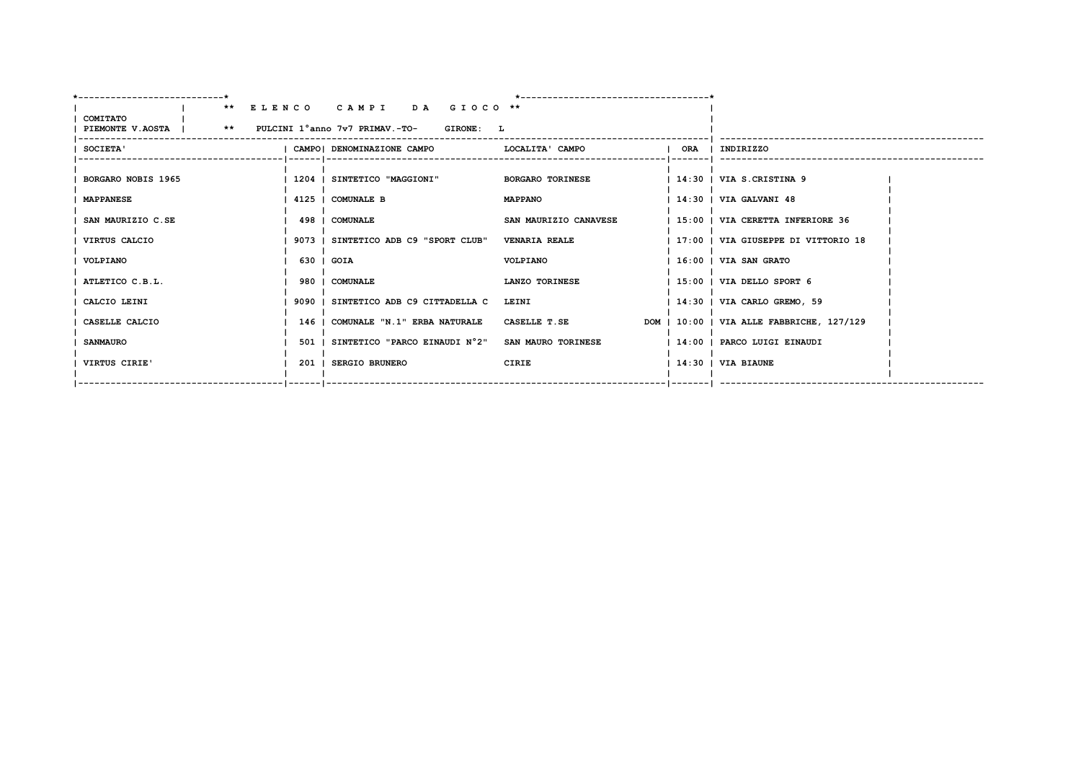| -------------------------+                                       |                                              |                         |                                           |
|------------------------------------------------------------------|----------------------------------------------|-------------------------|-------------------------------------------|
|                                                                  | ** ELENCO CAMPI DA GIOCO **                  |                         |                                           |
| COMITATO<br>PIEMONTE V.AOSTA   ** PULCINI 1°anno 7v7 PRIMAV.-TO- | <b>GIRONE: L</b>                             |                         |                                           |
|                                                                  |                                              |                         |                                           |
| SOCIETA'                                                         | CAMPO  DENOMINAZIONE CAMPO   LOCALITA' CAMPO |                         | ORA   INDIRIZZO                           |
|                                                                  |                                              |                         |                                           |
| BORGARO NOBIS 1965                                               | 1204   SINTETICO "MAGGIONI"                  | <b>BORGARO TORINESE</b> | 14:30   VIA S.CRISTINA 9                  |
| <b>MAPPANESE</b>                                                 | 4125   COMUNALE B                            | <b>MAPPANO</b>          | 14:30   VIA GALVANI 48                    |
| SAN MAURIZIO C.SE                                                | 498   COMUNALE                               | SAN MAURIZIO CANAVESE   | 15:00   VIA CERETTA INFERIORE 36          |
| VIRTUS CALCIO                                                    | 9073   SINTETICO ADB C9 "SPORT CLUB"         | <b>VENARIA REALE</b>    | 17:00   VIA GIUSEPPE DI VITTORIO 18       |
|                                                                  |                                              |                         |                                           |
| VOLPIANO                                                         | 630   GOIA                                   | VOLPIANO                | 16:00   VIA SAN GRATO                     |
| ATLETICO C.B.L.                                                  | 980   COMUNALE                               | LANZO TORINESE          | $1\,15:00$   VIA DELLO SPORT $6$          |
| CALCIO LEINI                                                     | 9090   SINTETICO ADB C9 CITTADELLA C         | LEINI                   | 14:30   VIA CARLO GREMO, 59               |
| CASELLE CALCIO                                                   | 146   COMUNALE "N.1" ERBA NATURALE           | <b>CASELLE T.SE</b>     | DOM   10:00   VIA ALLE FABBRICHE, 127/129 |
| <b>SANMAURO</b>                                                  | 501   SINTETICO "PARCO EINAUDI N°2"          | SAN MAURO TORINESE      | 14:00   PARCO LUIGI EINAUDI               |
|                                                                  |                                              |                         |                                           |
| VIRTUS CIRIE'                                                    | 201   SERGIO BRUNERO                         | CIRIE                   | $1.4:30$ $1.71A$ BIAUNE                   |
|                                                                  |                                              |                         |                                           |
|                                                                  |                                              |                         |                                           |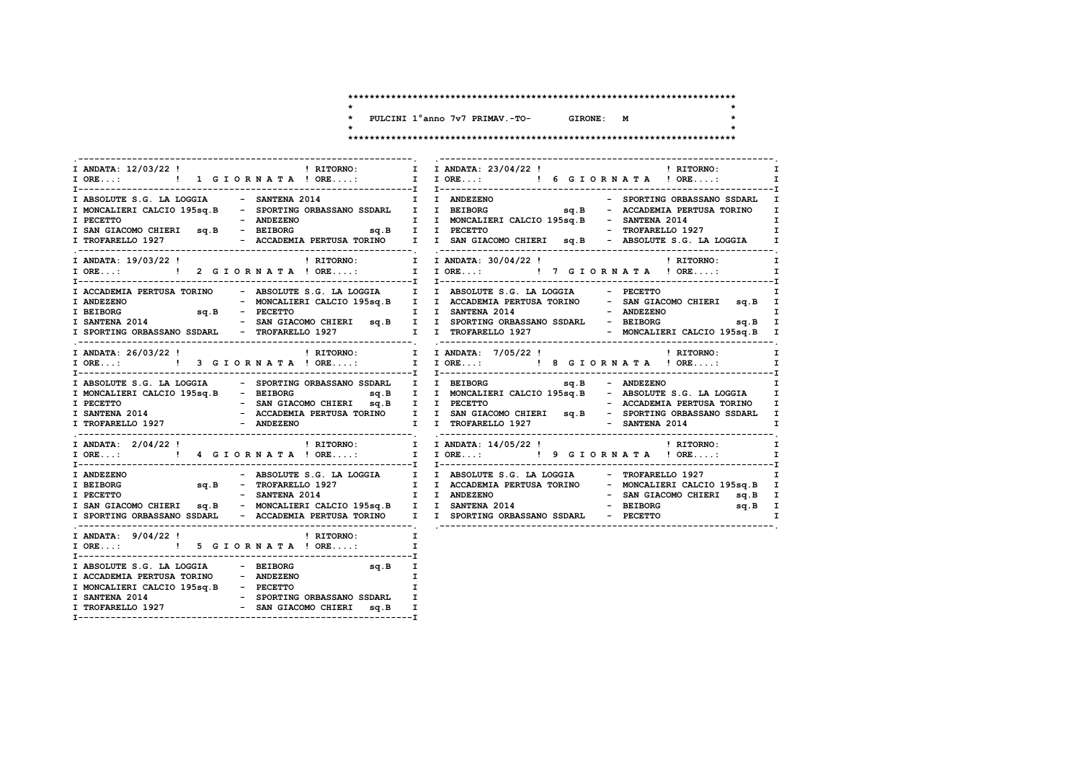| PULCINI 1° anno 7v7 PRIMAV.-TO- | GTRONE: | M |  |
|---------------------------------|---------|---|--|
|                                 |         |   |  |

| I ANDATA: 12/03/22 !<br>I ANDATA: 23/04/22 !<br>I ANDATA: 23/04/22 !<br>I ANDATA: 23/04/22 !<br>I RITORNO:                                                                                                                     | $\mathbf{I}$<br>$\mathbf I$                                                                                                                                                                                                                                                                                                                                        |
|--------------------------------------------------------------------------------------------------------------------------------------------------------------------------------------------------------------------------------|--------------------------------------------------------------------------------------------------------------------------------------------------------------------------------------------------------------------------------------------------------------------------------------------------------------------------------------------------------------------|
| I ABSOLUTE S.G. LA LOGGIA $-$ SANTENA 2014 $\qquad$ I I ANDEZENO                                                                                                                                                               | - SPORTING ORBASSANO SSDARL I<br>I MONCALIERI CALCIO 195sq.B - SPORTING ORBASSANO SSDARL I I BEIBORG Sq.B - ACCADEMIA PERTUSA TORINO I<br>T PECETTO – ANDEZENO – ANDEZENO I I MONCALIERI CALCIO 195sq.B – SANTENA 2014<br>I SAN GIACOMO CHIERI sq.B – BEIBORG sq.B I I PECETTO – TROFARELLO 1927<br>$\mathbf{r}$ and $\mathbf{r}$ and $\mathbf{r}$<br>$\mathbf{I}$ |
|                                                                                                                                                                                                                                | $\mathbf{I}$<br>$\mathbf{I}$                                                                                                                                                                                                                                                                                                                                       |
| I ACCADEMIA PERTUSA TORINO - ABSOLUTE S.G. LA LOGGIA I I ABSOLUTE S.G. LA LOGGIA - PECETTO<br>I ANDEZENO<br>I BEIBORG                                                                                                          | I<br>- MONCALIERI CALCIO 195sq.B I I ACCADEMIA PERTUSA TORINO - SAN GIACOMO CHIERI sq.B I<br>$\mathbf I$<br>I SANTENA 2014 - SAN GIACOMO CHIERI sq.B I I SPORTING ORBASSANO SSDARL - BEIBORG sq.B I<br>I SPORTING ORBASSANO SSDARL - TROFARELLO 1927 I I TROFARELLO 1927 - MONCALIERI CALCIO 195sq.B I                                                             |
|                                                                                                                                                                                                                                | I ANDATA: 26/03/22! ! RITORNO: I I ANDATA: 7/05/22! ! RITORNO: I I ANDATA: 7/05/22! ! RITORNO: I<br>I ORE: ! ! 3 GIORNATA! ORE: I I ORE: ! ! 8 GIORNATA! ORE: I                                                                                                                                                                                                    |
| I ABSOLUTE S.G. LA LOGGIA - SPORTING ORBASSANO SSDARL I I BEIBORG SQ.B - ANDEZENO<br>I MONCALIERI CALCIO 195sq.B - BEIBORG<br>I TROFARELLO 1927 - ANDEZENO                                                                     | I<br>sq.B I I MONCALIERI CALCIO 195sq.B - ABSOLUTE S.G. LA LOGGIA I<br>I I TROFARELLO 1927 - SANTENA 2014<br>T                                                                                                                                                                                                                                                     |
| I ANDATA: 2/04/22 !                                                                                                                                                                                                            | I ORE:  1 I ORE: I JORE: I JORE: I P GIORNATA ! ORE: I                                                                                                                                                                                                                                                                                                             |
| <b>I ANDEZENO</b><br>I BEIBORG<br>I PECETTO<br>I SPORTING ORBASSANO SSDARL - ACCADEMIA PERTUSA TORINO I I SPORTING ORBASSANO SSDARL - PECETTO                                                                                  | I SAN GIACOMO CHIERI sq.B - MONCALIERI CALCIO 195sq.B I I SANTENA 2014 - BEIBORG sq.B I<br>$\mathbf{I}$                                                                                                                                                                                                                                                            |
| I ANDATA: 9/04/22! I PLITORNO: I<br>I ORE: ! 5 G I O R N A T A ! ORE:                                                                                                                                                          | I                                                                                                                                                                                                                                                                                                                                                                  |
| I ABSOLUTE S.G. LA LOGGIA - BEIBORG<br>$sq.B$ I<br>I ACCADEMIA PERTUSA TORINO - ANDEZENO<br>I MONCALIERI CALCIO 195sq.B - PECETTO<br>I SANTENA 2014 - SPORTING ORBASSANO SSDARL<br>I TROFARELLO 1927 - SAN GIACOMO CHIERI sq.B | $\mathbf{I}$<br>I<br>I<br>I.                                                                                                                                                                                                                                                                                                                                       |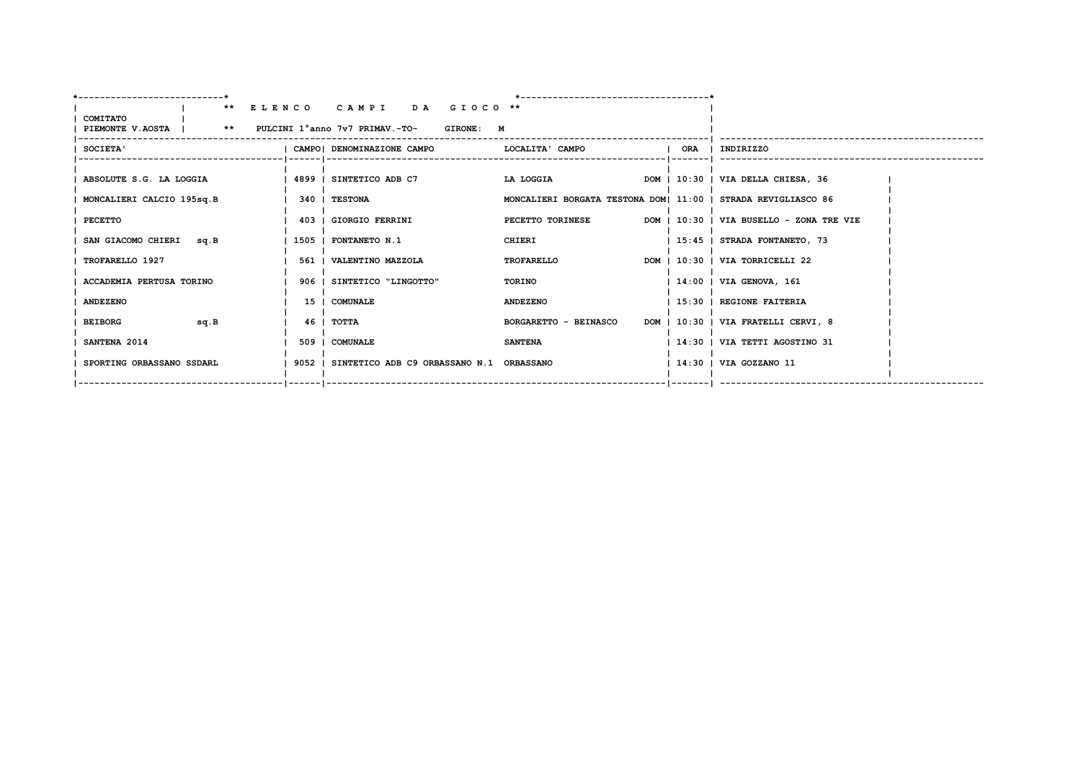| --------------------------*                                                    |                                                       |                                                               |                                          |
|--------------------------------------------------------------------------------|-------------------------------------------------------|---------------------------------------------------------------|------------------------------------------|
|                                                                                | ** ELENCO CAMPI DA GIOCO **                           |                                                               |                                          |
| COMITATO<br>  PIEMONTE V.AOSTA           **     PULCINI 1°anno 7v7 PRIMAV.-TO- | <b>GIRONE: M</b>                                      |                                                               |                                          |
|                                                                                |                                                       |                                                               |                                          |
| <b>SOCIETA'</b>                                                                | CAMPO  DENOMINAZIONE CAMPO           LOCALITA ' CAMPO |                                                               | ORA   INDIRIZZO                          |
|                                                                                |                                                       |                                                               |                                          |
| ABSOLUTE S.G. LA LOGGIA                                                        | 4899   SINTETICO ADB C7                               | LA LOGGIA                                                     | DOM   10:30   VIA DELLA CHIESA, 36       |
| MONCALIERI CALCIO 195sq.B                                                      | 340 I TESTONA                                         | MONCALIERI BORGATA TESTONA DOM  11:00   STRADA REVIGLIASCO 86 |                                          |
|                                                                                |                                                       |                                                               |                                          |
| PECETTO                                                                        | 403   GIORGIO FERRINI                                 | PECETTO TORINESE                                              | DOM   10:30   VIA BUSELLO - ZONA TRE VIE |
| SAN GIACOMO CHIERI sq.B                                                        | 1505   FONTANETO N.1                                  | CHIERI                                                        | 15:45   STRADA FONTANETO, 73             |
|                                                                                |                                                       |                                                               |                                          |
| TROFARELLO 1927                                                                | 561   VALENTINO MAZZOLA                               | <b>TROFARELLO</b>                                             | DOM   10:30   VIA TORRICELLI 22          |
| ACCADEMIA PERTUSA TORINO                                                       | 906   SINTETICO "LINGOTTO"                            | TORINO                                                        | 14:00   VIA GENOVA, 161                  |
| <b>ANDEZENO</b>                                                                | 15   COMUNALE                                         | <b>ANDEZENO</b>                                               | 15:30   REGIONE FAITERIA                 |
|                                                                                |                                                       |                                                               |                                          |
| sq.B<br><b>BEIBORG</b>                                                         | 46 I TOTTA                                            | BORGARETTO - BEINASCO                                         | DOM   10:30   VIA FRATELLI CERVI, 8      |
| SANTENA 2014                                                                   | 509   COMUNALE                                        | <b>SANTENA</b>                                                | 14:30   VIA TETTI AGOSTINO 31            |
|                                                                                |                                                       |                                                               |                                          |
| SPORTING ORBASSANO SSDARL                                                      | 9052   SINTETICO ADB C9 ORBASSANO N.1 ORBASSANO       |                                                               | 14:30   VIA GOZZANO 11                   |
|                                                                                |                                                       |                                                               |                                          |
|                                                                                |                                                       |                                                               |                                          |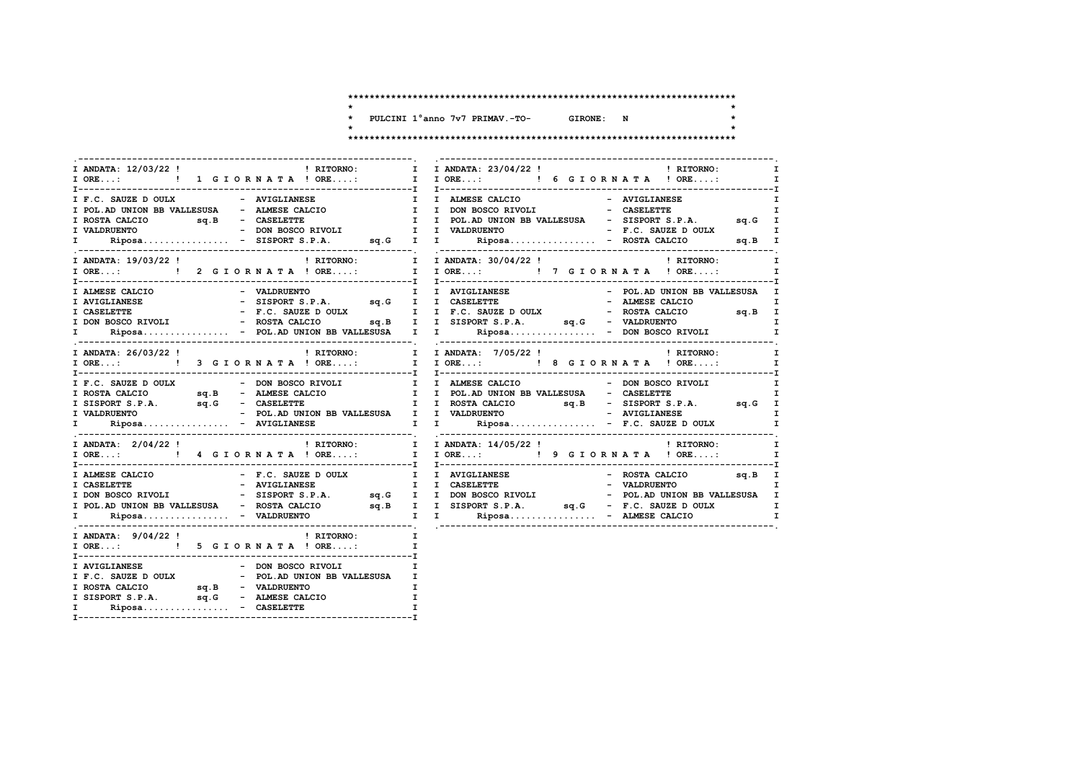| PULCINI 1° anno 7v7 PRIMAV.-TO- | GTRONE: | N |  |
|---------------------------------|---------|---|--|
|                                 |         |   |  |

|                                                                                         | $\mathbf{I}$<br>$\mathbf{I}$                                                                                                                                                                                                         |
|-----------------------------------------------------------------------------------------|--------------------------------------------------------------------------------------------------------------------------------------------------------------------------------------------------------------------------------------|
|                                                                                         |                                                                                                                                                                                                                                      |
| I ANDATA: 19/03/22 !<br>I ORE: ! 2 GIORNATA ! ORE:                                      | $\frac{1}{2}$ RITORNO: $\frac{1}{2}$ I ANDATA: 30/04/22 !<br><b>EXECUTE:</b> RITORNO:<br>$\mathbf I$<br>I IORE: ! 7 GIORNATA ! ORE:<br>$\mathbf{I}$                                                                                  |
|                                                                                         | TRIMESE CALCIO - VALDRUENTO - TRIVIGLIANESE - POL.AD UNION BB VALLESUSA I<br>I AVIGLIANESE - SISPORT S.P.A. 9q.G I I CASELETTE - ALMESE CALCIO I<br>I CASELETTE - F.C. SAUZE DOULY I F.C. SAUZE DOULY - ROSTA CALCIO 9q.B I<br>I DON |
|                                                                                         | $\mathbf{I}$<br>IORE:                 !    3 GIORNATA !ORE:            I   IORE:               !   8 GIORNATA !ORE:<br>$\mathbf{I}$                                                                                                  |
|                                                                                         | - DON BOSCO RIVOLI                                                                                                                                                                                                                   |
|                                                                                         | I ANDATA: 2/04/22 !                               RITORNO:         I I ANDATA: 14/05/22 !                     RITORNO:       I                                                                                                       |
| I ALMESE CALCIO <b>F.C. SAUZE D OULX</b> I I AVIGLIANESE                                | - ROSTA CALCIO<br>sq.B I<br>$\mathbf{I}$                                                                                                                                                                                             |
| I ANDATA: $9/04/22$ ! RITORNO:<br>I ORE: ! 5 G I O R N A T A ! ORE:                     | $\mathbf{I}$<br>$\mathbf{I}$                                                                                                                                                                                                         |
| I ROSTA CALCIO sq.B - VALDRUENTO<br>$\mathbb{Z}^{\mathbb{Z}}$ .<br>$Riposa$ - CASELETTE | I<br>$\mathbf{I}$                                                                                                                                                                                                                    |